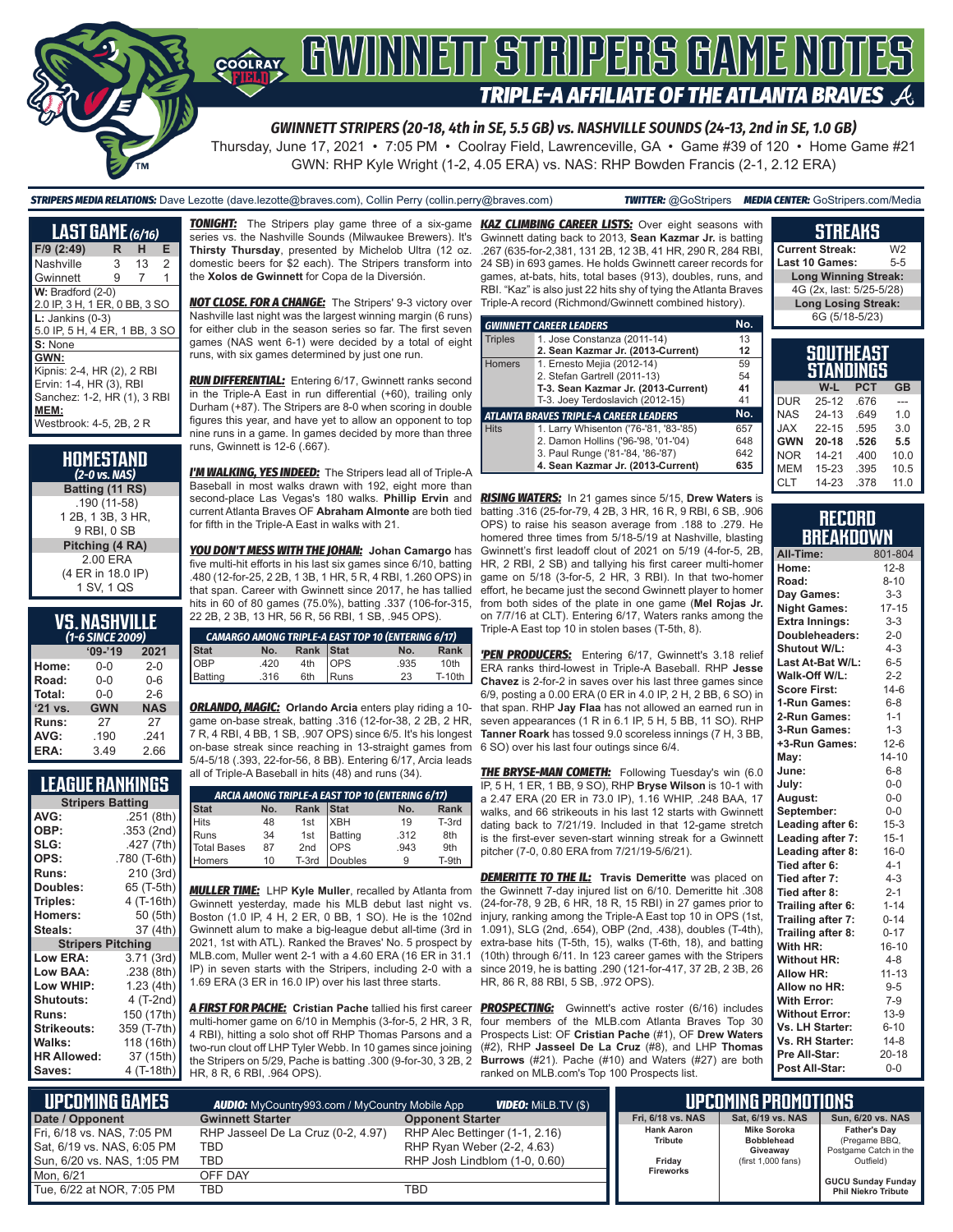

*GWINNETT STRIPERS (20-18, 4th in SE, 5.5 GB) vs. NASHVILLE SOUNDS (24-13, 2nd in SE, 1.0 GB)*

Thursday, June 17, 2021 • 7:05 PM • Coolray Field, Lawrenceville, GA • Game #39 of 120 • Home Game #21 GWN: RHP Kyle Wright (1-2, 4.05 ERA) vs. NAS: RHP Bowden Francis (2-1, 2.12 ERA)

*STRIPERS MEDIA RELATIONS:* Dave Lezotte (dave.lezotte@braves.com), Collin Perry (collin.perry@braves.com) *TWITTER:* @GoStripers *MEDIA CENTER:* GoStripers.com/Media

# **STREAKS**

**Current Streak:** W2<br>Last 10 Games: 5-5 **Last 10 Games:** 

**Long Winning Streak:** 4G (2x, last: 5/25-5/28) **Long Losing Streak:** 6G (5/18-5/23)

**SOUTHEAST STANDINGS W-L PCT GB** DUR 25-12 .676 ---<br>NAS 24-13 .649 1.0 NAS 24-13 .649 1.0<br>JAX 22-15 .595 3.0  $22-15$ **GWN 20-18 .526 5.5** NOR 14-21 .400 10.0  $15 - 23$ CLT 14-23 .378 11.0

**RECORD BREAKDOWN All-Time:** 801-804 **Home:** 12-8 **Road:** 8-10<br>**Day Games:** 3-3 **Day Games:** 3-3<br>**Night Games:** 17-15 **Night Games:** 17-15<br>**Extra Innings:** 3-3 **Extra Innings:** 

**Doubleheaders:** 2-0<br>**Shutout W/L:** 4-3 **Shutout W/L:** 4-3<br>**Last At-Bat W/L:** 6-5 **Last At-Bat W/L: Walk-Off W/L:** 2-2<br>**Score First:** 14-6 **Score First:** 14-6<br>**1-Run Games:** 6-8 **1-Run Games: 2-Run Games:** 1-1 **3-Run Games:** 1-3<br>**+3-Run Games:** 12-6 **+3-Run Games:**<br>Mav:

**June:** 6-8 **July:** 0-0<br>**August:** 0-0

**September:** 0-0<br>**Leading after 6:** 15-3 Leading after 6: 15-3<br>Leading after 7: 15-1 Leading after 7: 15-1<br>Leading after 8: 16-0 **Leading after 8: Tied after 6:** 4-1<br> **Tied after 7:** 4-3 **Tied after 7:** 4-3<br>**Tied after 8:** 2-1

**Trailing after 6:** 1-14<br>**Trailing after 7:** 0-14 **Trailing after 7: 0-14<br><b>Trailing after 8:** 0-17 **Trailing after 8: 0-17<br>
<b>With HR:** 16-10 **With HR:** 16-1<br>**Without HR:** 4-8

**August:** 0-0

**Tied after 8:** 

**Without HR:** 

**May:** 14-10

| <b>LAST GAME</b> $(6/16)$     |   |    |   |
|-------------------------------|---|----|---|
| F/9 (2:49)                    | R | н  | Е |
| Nashville                     | 3 | 13 | 2 |
| Gwinnett                      | 9 | 7  | 1 |
| $W:$ Bradford $(2-0)$         |   |    |   |
| 2.0 IP, 3 H, 1 ER, 0 BB, 3 SO |   |    |   |
| $L:$ Jankins (0-3)            |   |    |   |
| 5.0 IP, 5 H, 4 ER, 1 BB, 3 SO |   |    |   |
| S: None                       |   |    |   |
| GWN:                          |   |    |   |
| Kipnis: 2-4, HR (2), 2 RBI    |   |    |   |
| Ervin: 1-4, HR (3), RBI       |   |    |   |
| Sanchez: 1-2, HR (1), 3 RBI   |   |    |   |
| MEM:                          |   |    |   |
| Westbrook: 4-5, 2B, 2 R       |   |    |   |
|                               |   |    |   |

| HOMESTAND<br>(2-0 vs. NAS) |
|----------------------------|
| Batting (11 RS)            |
| .190 (11-58)               |
| 1 2B, 1 3B, 3 HR,          |
| 9 RBI, 0 SB                |
| Pitching (4 RA)            |
| 2.00 ERA                   |
| (4 ER in 18.0 IP)          |
| 1 SV, 1 QS                 |

#### **VS. NASHVILLE**  *(1-6 SINCE 2009)*

| $09 - 19$  | 2021       |  |  |  |  |  |  |
|------------|------------|--|--|--|--|--|--|
| 0-0        | $2 - 0$    |  |  |  |  |  |  |
| $0 - 0$    | $0 - 6$    |  |  |  |  |  |  |
| $0 - 0$    | $2 - 6$    |  |  |  |  |  |  |
| <b>GWN</b> | <b>NAS</b> |  |  |  |  |  |  |
| 27         | 27         |  |  |  |  |  |  |
| .190       | .241       |  |  |  |  |  |  |
| 3.49       | 2.66       |  |  |  |  |  |  |
|            |            |  |  |  |  |  |  |

#### **LEAGUE RANKINGS**

| <b>Stripers Batting</b>  |              |  |  |  |  |
|--------------------------|--------------|--|--|--|--|
| AVG:                     | .251 (8th)   |  |  |  |  |
| OBP:                     | .353 (2nd)   |  |  |  |  |
| SLG:                     | .427 (7th)   |  |  |  |  |
| OPS:                     | .780 (T-6th) |  |  |  |  |
| <b>Runs:</b>             | 210 (3rd)    |  |  |  |  |
| Doubles:                 | 65 (T-5th)   |  |  |  |  |
| Triples:                 | 4 (T-16th)   |  |  |  |  |
| <b>Homers:</b>           | 50 (5th)     |  |  |  |  |
| Steals:                  | 37 (4th)     |  |  |  |  |
| <b>Stripers Pitching</b> |              |  |  |  |  |
| <b>Low ERA:</b>          | 3.71 (3rd)   |  |  |  |  |
| Low BAA:                 | .238(8th)    |  |  |  |  |
| Low WHIP:                | 1.23 (4th)   |  |  |  |  |
| <b>Shutouts:</b>         | 4 (T-2nd)    |  |  |  |  |
| <b>Runs:</b>             | 150 (17th)   |  |  |  |  |
| <b>Strikeouts:</b>       | 359 (T-7th)  |  |  |  |  |
| Walks:                   | 118 (16th)   |  |  |  |  |
| <b>HR Allowed:</b>       | 37 (15th)    |  |  |  |  |
| Saves:                   | 4 (T-18th)   |  |  |  |  |
|                          |              |  |  |  |  |

**TONIGHT:** The Stripers play game three of a six-game series vs. the Nashville Sounds (Milwaukee Brewers). It's **Thirsty Thursday**, presented by Michelob Ultra (12 oz. domestic beers for \$2 each). The Stripers transform into the **Xolos de Gwinnett** for Copa de la Diversión.

*NOT CLOSE. FOR A CHANGE:* The Stripers' 9-3 victory over Nashville last night was the largest winning margin (6 runs) for either club in the season series so far. The first seven games (NAS went 6-1) were decided by a total of eight runs, with six games determined by just one run.

*RUN DIFFERENTIAL:* Entering 6/17, Gwinnett ranks second in the Triple-A East in run differential (+60), trailing only Durham (+87). The Stripers are 8-0 when scoring in double figures this year, and have yet to allow an opponent to top nine runs in a game. In games decided by more than three runs, Gwinnett is 12-6 (.667).

*I'M WALKING, YES INDEED:* The Stripers lead all of Triple-A Baseball in most walks drawn with 192, eight more than second-place Las Vegas's 180 walks. **Phillip Ervin** and *RISING WATERS:* In 21 games since 5/15, **Drew Waters** is current Atlanta Braves OF **Abraham Almonte** are both tied batting .316 (25-for-79, 4 2B, 3 HR, 16 R, 9 RBI, 6 SB, .906 for fifth in the Triple-A East in walks with 21.

*YOU DON'T MESS WITH THE JOHAN:* **Johan Camargo** has five multi-hit efforts in his last six games since 6/10, batting .480 (12-for-25, 2 2B, 1 3B, 1 HR, 5 R, 4 RBI, 1.260 OPS) in that span. Career with Gwinnett since 2017, he has tallied hits in 60 of 80 games (75.0%), batting .337 (106-for-315, 22 2B, 2 3B, 13 HR, 56 R, 56 RBI, 1 SB, .945 OPS).

| <b>CAMARGO AMONG TRIPLE-A EAST TOP 10 (ENTERING 6/17)</b> |      |           |      |      |               |  |  |
|-----------------------------------------------------------|------|-----------|------|------|---------------|--|--|
| Stat                                                      | No.  | Rank Stat |      | No.  | Rank          |  |  |
| OBP<br>Batting                                            | .420 | 4th OPS   |      | .935 | 10th          |  |  |
|                                                           | .316 | 6th       | Runs | 23   | <b>T-10th</b> |  |  |

*ORLANDO, MAGIC:* **Orlando Arcia** enters play riding a 10 game on-base streak, batting .316 (12-for-38, 2 2B, 2 HR, 7 R, 4 RBI, 4 BB, 1 SB, .907 OPS) since 6/5. It's his longest on-base streak since reaching in 13-straight games from 5/4-5/18 (.393, 22-for-56, 8 BB). Entering 6/17, Arcia leads all of Triple-A Baseball in hits (48) and runs (34).

| ARCIA AMONG TRIPLE-A EAST TOP 10 (ENTERING 6/17) |     |           |                                   |      |                 |  |  |
|--------------------------------------------------|-----|-----------|-----------------------------------|------|-----------------|--|--|
|                                                  | No. | Rank Stat |                                   | No.  | Rank            |  |  |
|                                                  | 48  |           |                                   | 19   | T-3rd           |  |  |
| Stat<br>Hits<br>Runs<br>Total Bases              | 34  |           | 1st XBH<br>1st Batting<br>2nd OPS | .312 | 8th             |  |  |
|                                                  | 87  |           |                                   | .943 | 9 <sub>th</sub> |  |  |
| Homers                                           | 10  |           | T-3rd Doubles                     | 9    | T-9th           |  |  |

*MULLER TIME:* LHP **Kyle Muller**, recalled by Atlanta from Gwinnett yesterday, made his MLB debut last night vs. Boston (1.0 IP, 4 H, 2 ER, 0 BB, 1 SO). He is the 102nd Gwinnett alum to make a big-league debut all-time (3rd in 2021, 1st with ATL). Ranked the Braves' No. 5 prospect by MLB.com, Muller went 2-1 with a 4.60 ERA (16 ER in 31.1 IP) in seven starts with the Stripers, including 2-0 with a 1.69 ERA (3 ER in 16.0 IP) over his last three starts.

*A FIRST FOR PACHE:* **Cristian Pache** tallied his first career multi-homer game on 6/10 in Memphis (3-for-5, 2 HR, 3 R, 4 RBI), hitting a solo shot off RHP Thomas Parsons and a two-run clout off LHP Tyler Webb. In 10 games since joining the Stripers on 5/29, Pache is batting .300 (9-for-30, 3 2B, 2 HR, 8 R, 6 RBI, .964 OPS).

*KAZ CLIMBING CAREER LISTS:* Over eight seasons with Gwinnett dating back to 2013, **Sean Kazmar Jr.** is batting .267 (635-for-2,381, 131 2B, 12 3B, 41 HR, 290 R, 284 RBI, 24 SB) in 693 games. He holds Gwinnett career records for games, at-bats, hits, total bases (913), doubles, runs, and RBI. "Kaz" is also just 22 hits shy of tying the Atlanta Braves Triple-A record (Richmond/Gwinnett combined history).

|                                               | <b>GWINNETT CAREER LEADERS</b>        | No. |  |  |  |  |
|-----------------------------------------------|---------------------------------------|-----|--|--|--|--|
| <b>Triples</b>                                | 1. Jose Constanza (2011-14)           | 13  |  |  |  |  |
|                                               | 2. Sean Kazmar Jr. (2013-Current)     | 12  |  |  |  |  |
| <b>Homers</b>                                 | 1. Ernesto Mejia (2012-14)            | 59  |  |  |  |  |
|                                               | 2. Stefan Gartrell (2011-13)          |     |  |  |  |  |
|                                               | T-3. Sean Kazmar Jr. (2013-Current)   |     |  |  |  |  |
|                                               | T-3. Joey Terdoslavich (2012-15)      | 41  |  |  |  |  |
| <b>ATLANTA BRAVES TRIPLE-A CAREER LEADERS</b> |                                       |     |  |  |  |  |
| <b>Hits</b>                                   | 1. Larry Whisenton ('76-'81, '83-'85) | 657 |  |  |  |  |
|                                               | 2. Damon Hollins ('96-'98, '01-'04)   | 648 |  |  |  |  |
|                                               | 3. Paul Runge ('81-'84, '86-'87)      | 642 |  |  |  |  |
|                                               | 4. Sean Kazmar Jr. (2013-Current)     | 635 |  |  |  |  |

OPS) to raise his season average from .188 to .279. He homered three times from 5/18-5/19 at Nashville, blasting Gwinnett's first leadoff clout of 2021 on 5/19 (4-for-5, 2B, HR, 2 RBI, 2 SB) and tallying his first career multi-homer game on 5/18 (3-for-5, 2 HR, 3 RBI). In that two-homer effort, he became just the second Gwinnett player to homer from both sides of the plate in one game (**Mel Rojas Jr.** on 7/7/16 at CLT). Entering 6/17, Waters ranks among the

*'PEN PRODUCERS:* Entering 6/17, Gwinnett's 3.18 relief ERA ranks third-lowest in Triple-A Baseball. RHP **Jesse**  6/9, posting a 0.00 ERA (0 ER in 4.0 IP, 2 H, 2 BB, 6 SO) in that span. RHP **Jay Flaa** has not allowed an earned run in seven appearances (1 R in 6.1 IP, 5 H, 5 BB, 11 SO). RHP **Tanner Roark** has tossed 9.0 scoreless innings (7 H, 3 BB,

**THE BRYSE-MAN COMETH:** Following Tuesday's win (6.0 IP, 5 H, 1 ER, 1 BB, 9 SO), RHP **Bryse Wilson** is 10-1 with walks, and 66 strikeouts in his last 12 starts with Gwinnett dating back to 7/21/19. Included in that 12-game stretch is the first-ever seven-start winning streak for a Gwinnett

**DEMERITTE TO THE IL:** Travis Demeritte was placed on the Gwinnett 7-day injured list on 6/10. Demeritte hit .308 (24-for-78, 9 2B, 6 HR, 18 R, 15 RBI) in 27 games prior to injury, ranking among the Triple-A East top 10 in OPS (1st, 1.091), SLG (2nd, .654), OBP (2nd, .438), doubles (T-4th), extra-base hits (T-5th, 15), walks (T-6th, 18), and batting (10th) through 6/11. In 123 career games with the Stripers since 2019, he is batting .290 (121-for-417, 37 2B, HR, 86 R, 88 RBI, 5 SB, .972 OPS).

**PROSPECTING:** Gwinnett's active roster (6/16) four members of the MLB.com Atlanta Braves Prospects List: OF Cristian Pache (#1), OF Drew

| 2 3B, 26           | Allow HR:                                     | $11 - 13$ |          |  |  |  |  |
|--------------------|-----------------------------------------------|-----------|----------|--|--|--|--|
|                    | Allow no HR:                                  |           | $9 - 5$  |  |  |  |  |
|                    | <b>With Error:</b>                            |           | $7 - 9$  |  |  |  |  |
| includes           | <b>Without Error:</b>                         |           | $13-9$   |  |  |  |  |
| Top 30<br>v Waters | Vs. LH Starter:                               | $6 - 10$  |          |  |  |  |  |
| <b>Thomas</b>      | Vs. RH Starter:                               |           | $14 - 8$ |  |  |  |  |
| are both           | Pre All-Star:                                 | $20 - 18$ |          |  |  |  |  |
|                    | Post All-Star:                                |           | $0 - 0$  |  |  |  |  |
|                    |                                               |           |          |  |  |  |  |
| IMING PROMOTIONS   |                                               |           |          |  |  |  |  |
|                    | Sat, 6/19 vs. NAS<br><b>Sun. 6/20 vs. NAS</b> |           |          |  |  |  |  |
|                    |                                               |           |          |  |  |  |  |

| UPCOMING GAMES<br><b>AUDIO:</b> MyCountry993.com / MyCountry Mobile App<br><b>VIDEO:</b> MiLB.TV (\$) |                                    |                                |                              | LIPCOMING PROMOTIONS                    |                                      |
|-------------------------------------------------------------------------------------------------------|------------------------------------|--------------------------------|------------------------------|-----------------------------------------|--------------------------------------|
| Date / Opponent                                                                                       | <b>Gwinnett Starter</b>            | <b>Opponent Starter</b>        | Fri. 6/18 vs. NAS            | Sat. 6/19 vs. NAS                       | <b>Sun. 6/20 vs. NAS</b>             |
| Fri, 6/18 vs. NAS, 7:05 PM                                                                            | RHP Jasseel De La Cruz (0-2, 4.97) | RHP Alec Bettinger (1-1, 2.16) | <b>Hank Aaron</b><br>Tribute | <b>Mike Soroka</b><br><b>Bobblehead</b> | <b>Father's Dav</b><br>(Pregame BBQ, |
| Sat, 6/19 vs. NAS, 6:05 PM                                                                            | TBD                                | RHP Ryan Weber (2-2, 4.63)     |                              | Giveawav                                | Postgame Catch in the                |
| Sun, 6/20 vs. NAS, 1:05 PM                                                                            | TBD                                | RHP Josh Lindblom (1-0, 0.60)  | Fridav                       | (first 1,000 fans)                      | Outfield)                            |
| Mon. 6/21                                                                                             | OFF DAY                            |                                | <b>Fireworks</b>             |                                         | <b>GUCU Sunday Funday</b>            |
| Tue, 6/22 at NOR, 7:05 PM                                                                             | TBD                                | TBD                            |                              |                                         | <b>Phil Niekro Tribute</b>           |

Triple-A East top 10 in stolen bases (T-5th, 8).

**Chavez** is 2-for-2 in saves over his last three games since 6 SO) over his last four outings since 6/4.

a 2.47 ERA (20 ER in 73.0 IP), 1.16 WHIP, .248 BAA, 17 pitcher (7-0, 0.80 ERA from 7/21/19-5/6/21).

**UPCOMING PROMOTIONS** (#2), RHP Jasseel De La Cruz (#8), and LHP **Burrows** (#21). Pache (#10) and Waters (#27) ranked on MLB.com's Top 100 Prospects list.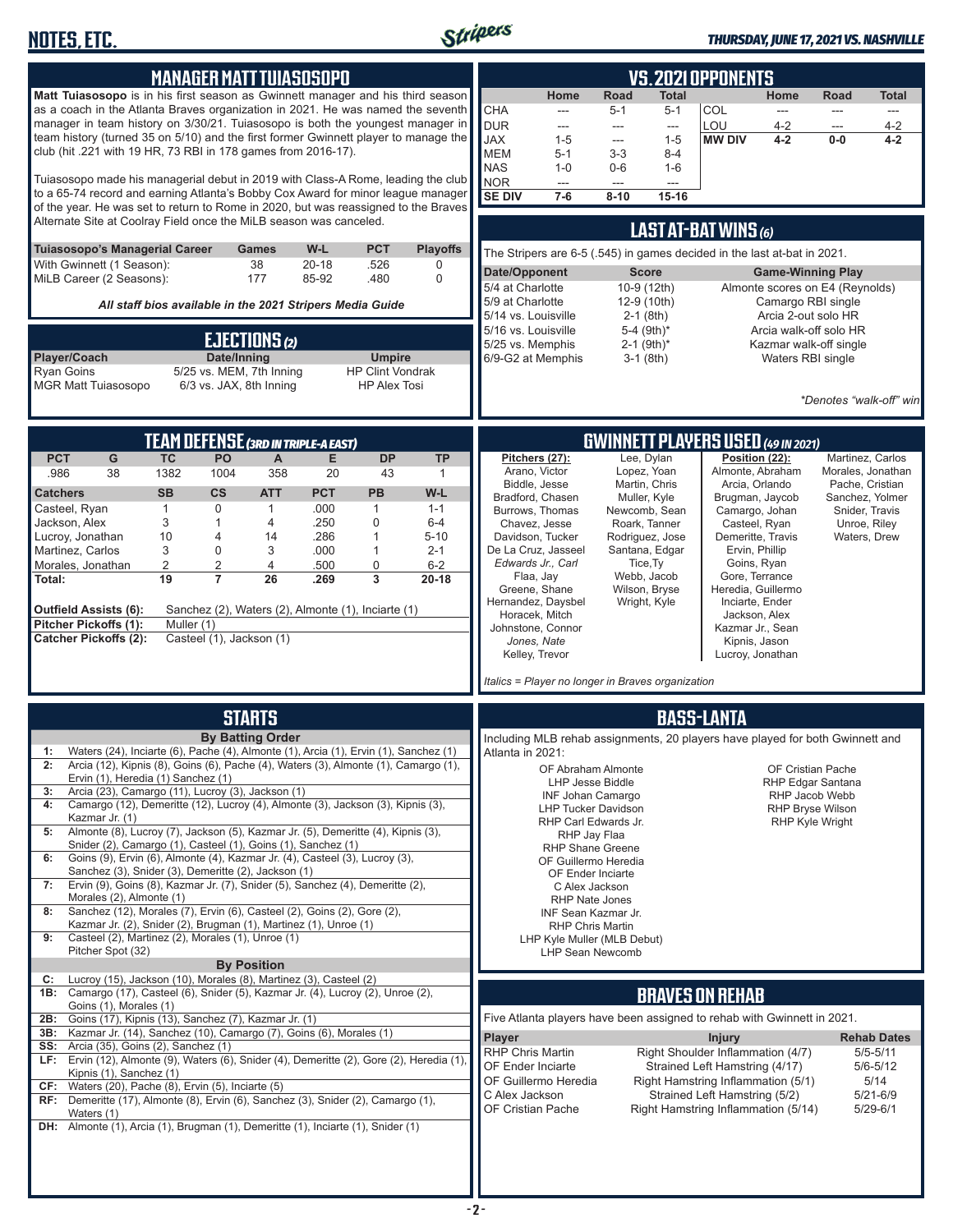

#### *THURSDAY, JUNE 17, 2021 VS. NASHVILLE*

| <b>MANAGER MATT TUIASOSOPO</b>                                                                                                                            | <b>VS. 2021 OPPONENTS</b>                                                                                                                     |
|-----------------------------------------------------------------------------------------------------------------------------------------------------------|-----------------------------------------------------------------------------------------------------------------------------------------------|
| Matt Tuiasosopo is in his first season as Gwinnett manager and his third season                                                                           | <b>Road</b><br><b>Total</b><br>Home<br>Home<br><b>Road</b><br>Total                                                                           |
| as a coach in the Atlanta Braves organization in 2021. He was named the seventh                                                                           | CHA<br>COL<br>$5 - 1$<br>$5 - 1$<br>$\overline{\phantom{a}}$<br>---<br>$\cdots$<br>---                                                        |
| manager in team history on 3/30/21. Tuiasosopo is both the youngest manager in                                                                            | <b>DUR</b><br>LOU<br>$4 - 2$<br>$4 - 2$<br>---<br>$---$<br>---<br>---                                                                         |
| team history (turned 35 on 5/10) and the first former Gwinnett player to manage the<br>club (hit .221 with 19 HR, 73 RBI in 178 games from 2016-17).      | <b>JAX</b><br>$4 - 2$<br>$1 - 5$<br>$1 - 5$<br><b>MW DIV</b><br>$0-0$<br>$4 - 2$<br>---                                                       |
|                                                                                                                                                           | <b>MEM</b><br>$5 - 1$<br>$3 - 3$<br>$8 - 4$<br><b>NAS</b><br>$1 - 0$<br>$0-6$<br>$1 - 6$                                                      |
| Tuiasosopo made his managerial debut in 2019 with Class-A Rome, leading the club                                                                          | <b>NOR</b><br>$\overline{a}$<br>---<br>$\sim$                                                                                                 |
| to a 65-74 record and earning Atlanta's Bobby Cox Award for minor league manager                                                                          | <b>SE DIV</b><br>$7-6$<br>$8 - 10$<br>$15 - 16$                                                                                               |
| of the year. He was set to return to Rome in 2020, but was reassigned to the Braves<br>Alternate Site at Coolray Field once the MiLB season was canceled. |                                                                                                                                               |
|                                                                                                                                                           | <b>LAST AT-BAT WINS (6)</b>                                                                                                                   |
| <b>PCT</b><br><b>Playoffs</b><br>Tuiasosopo's Managerial Career<br>W-L<br><b>Games</b>                                                                    | The Stripers are 6-5 (.545) in games decided in the last at-bat in 2021.                                                                      |
| 38<br>With Gwinnett (1 Season):<br>$20 - 18$<br>.526<br>0<br>MiLB Career (2 Seasons):<br>177<br>85-92<br>0<br>.480                                        | Date/Opponent<br><b>Score</b><br><b>Game-Winning Play</b>                                                                                     |
|                                                                                                                                                           | 5/4 at Charlotte<br>10-9 (12th)<br>Almonte scores on E4 (Reynolds)                                                                            |
| All staff bios available in the 2021 Stripers Media Guide                                                                                                 | Camargo RBI single<br>5/9 at Charlotte<br>12-9 (10th)<br>5/14 vs. Louisville<br>$2-1$ (8th)<br>Arcia 2-out solo HR                            |
|                                                                                                                                                           | 5/16 vs. Louisville<br>5-4 (9th)*<br>Arcia walk-off solo HR                                                                                   |
| EJECTIONS (2)                                                                                                                                             | $2-1$ (9th)*<br>5/25 vs. Memphis<br>Kazmar walk-off single                                                                                    |
| Date/Inning<br>Player/Coach<br><b>Umpire</b><br><b>Ryan Goins</b><br>5/25 vs. MEM, 7th Inning<br><b>HP Clint Vondrak</b>                                  | 6/9-G2 at Memphis<br>$3-1$ (8th)<br>Waters RBI single                                                                                         |
| <b>MGR Matt Tuiasosopo</b><br>6/3 vs. JAX, 8th Inning<br><b>HP Alex Tosi</b>                                                                              |                                                                                                                                               |
|                                                                                                                                                           | *Denotes "walk-off" winl                                                                                                                      |
|                                                                                                                                                           |                                                                                                                                               |
| <b>TEAM DEFENSE (3RD IN TRIPLE-A EAST)</b>                                                                                                                | <b>GWINNETT PLAYERS USED (49 IN 2021)</b>                                                                                                     |
| G<br><b>TC</b><br><b>DP</b><br><b>PCT</b><br>PO<br>A<br>Е<br><b>TP</b>                                                                                    | Lee, Dylan<br>Position (22):<br>Pitchers (27):<br>Martinez, Carlos                                                                            |
| .986<br>38<br>1382<br>1004<br>358<br>20<br>43<br>-1                                                                                                       | Arano, Victor<br>Lopez, Yoan<br>Almonte, Abraham<br>Morales, Jonathan                                                                         |
| $\mathsf{cs}$<br><b>PCT</b><br>PB<br>W-L<br><b>Catchers</b><br><b>SB</b><br><b>ATT</b>                                                                    | Biddle, Jesse<br>Arcia, Orlando<br>Martin, Chris<br>Pache, Cristian<br>Bradford, Chasen<br>Muller, Kyle<br>Brugman, Jaycob<br>Sanchez, Yolmer |
| 0<br>.000<br>Casteel, Ryan<br>$\mathbf{1}$<br>$\mathbf{1}$<br>$\mathbf{1}$<br>$1 - 1$                                                                     | Burrows, Thomas<br>Newcomb, Sean<br>Camargo, Johan<br>Snider, Travis                                                                          |
| 3<br>.250<br>$\mathbf{0}$<br>Jackson, Alex<br>4<br>$6-4$<br>1                                                                                             | Casteel, Ryan<br>Chavez, Jesse<br>Roark, Tanner<br>Unroe, Riley                                                                               |
| Lucroy, Jonathan<br>10<br>.286<br>4<br>1<br>$5 - 10$<br>14<br>Martinez, Carlos<br>3<br>0<br>3<br>.000<br>1<br>$2 - 1$                                     | Demeritte, Travis<br>Davidson, Tucker<br>Rodriguez, Jose<br>Waters, Drew<br>De La Cruz, Jasseel<br>Santana, Edgar<br>Ervin, Phillip           |
| Morales, Jonathan<br>2<br>2<br>0<br>$6 - 2$<br>4<br>.500                                                                                                  | Edwards Jr., Carl<br>Tice, Ty<br>Goins, Ryan                                                                                                  |
| 19<br>$\overline{7}$<br>26<br>3<br>.269<br>$20 - 18$<br>Total:                                                                                            | Flaa, Jay<br>Webb, Jacob<br>Gore, Terrance<br>Heredia, Guillermo<br>Greene, Shane<br>Wilson, Bryse                                            |
| <b>Outfield Assists (6):</b><br>Sanchez (2), Waters (2), Almonte (1), Inciarte (1)                                                                        | Hernandez, Daysbel<br>Wright, Kyle<br>Inciarte, Ender                                                                                         |
| Pitcher Pickoffs (1):<br>Muller (1)                                                                                                                       | Horacek, Mitch<br>Jackson, Alex                                                                                                               |
| <b>Catcher Pickoffs (2):</b><br>Casteel (1), Jackson (1)                                                                                                  | Johnstone, Connor<br>Kazmar Jr., Sean<br>Jones, Nate<br>Kipnis, Jason                                                                         |
|                                                                                                                                                           | Kelley, Trevor<br>Lucroy, Jonathan                                                                                                            |
|                                                                                                                                                           | Italics = Player no longer in Braves organization                                                                                             |
|                                                                                                                                                           |                                                                                                                                               |
| <b>STARTS</b>                                                                                                                                             | <b>BASS-LANTA</b>                                                                                                                             |
| <b>By Batting Order</b>                                                                                                                                   | Including MLB rehab assignments, 20 players have played for both Gwinnett and                                                                 |
| Waters (24), Inciarte (6), Pache (4), Almonte (1), Arcia (1), Ervin (1), Sanchez (1)<br>1:                                                                | Atlanta in 2021:                                                                                                                              |
| Arcia (12), Kipnis (8), Goins (6), Pache (4), Waters (3), Almonte (1), Camargo (1),<br>2:                                                                 | OF Abraham Almonte<br>OF Cristian Pache                                                                                                       |
| Ervin (1), Heredia (1) Sanchez (1)<br>Arcia (23), Camargo (11), Lucroy (3), Jackson (1)<br>3:                                                             | LHP Jesse Biddle<br>RHP Edgar Santana<br>RHP Jacob Webb                                                                                       |
| Camargo (12), Demeritte (12), Lucroy (4), Almonte (3), Jackson (3), Kipnis (3),<br>4:                                                                     | INF Johan Camargo<br><b>LHP Tucker Davidson</b><br><b>RHP Bryse Wilson</b>                                                                    |
| Kazmar Jr. (1)<br>Almonte (8), Lucroy (7), Jackson (5), Kazmar Jr. (5), Demeritte (4), Kipnis (3),<br>5:                                                  | RHP Carl Edwards Jr.<br><b>RHP Kyle Wright</b>                                                                                                |
| Snider (2), Camargo (1), Casteel (1), Goins (1), Sanchez (1)                                                                                              | RHP Jay Flaa<br><b>RHP Shane Greene</b>                                                                                                       |
| Goins (9), Ervin (6), Almonte (4), Kazmar Jr. (4), Casteel (3), Lucroy (3),<br>6:                                                                         | OF Guillermo Heredia                                                                                                                          |
| Sanchez (3), Snider (3), Demeritte (2), Jackson (1)<br>Ervin (9), Goins (8), Kazmar Jr. (7), Snider (5), Sanchez (4), Demeritte (2),<br>7:                | OF Ender Inciarte<br>C Alex Jackson                                                                                                           |
| Morales (2), Almonte (1)                                                                                                                                  | RHP Nate Jones                                                                                                                                |
| Sanchez (12), Morales (7), Ervin (6), Casteel (2), Goins (2), Gore (2),<br>8:                                                                             | INF Sean Kazmar Jr.                                                                                                                           |
| Kazmar Jr. (2), Snider (2), Brugman (1), Martinez (1), Unroe (1)<br>Casteel (2), Martinez (2), Morales (1), Unroe (1)<br>9:                               | <b>RHP Chris Martin</b><br>LHP Kyle Muller (MLB Debut)                                                                                        |
| Pitcher Spot (32)                                                                                                                                         | LHP Sean Newcomb                                                                                                                              |
| <b>By Position</b><br>Lucroy (15), Jackson (10), Morales (8), Martinez (3), Casteel (2)<br>C:                                                             |                                                                                                                                               |
| 1B: Camargo (17), Casteel (6), Snider (5), Kazmar Jr. (4), Lucroy (2), Unroe (2),                                                                         | <b>BRAVES ON REHAB</b>                                                                                                                        |
| Goins (1), Morales (1)                                                                                                                                    |                                                                                                                                               |
| Goins (17), Kipnis (13), Sanchez (7), Kazmar Jr. (1)<br>2B:<br>Kazmar Jr. (14), Sanchez (10), Camargo (7), Goins (6), Morales (1)<br>3B:                  | Five Atlanta players have been assigned to rehab with Gwinnett in 2021.                                                                       |
| Arcia (35), Goins (2), Sanchez (1)<br>SS:                                                                                                                 | Player<br><b>Injury</b><br><b>Rehab Dates</b><br>RHP Chris Martin<br>Right Shoulder Inflammation (4/7)<br>$5/5 - 5/11$                        |
| LF: Ervin (12), Almonte (9), Waters (6), Snider (4), Demeritte (2), Gore (2), Heredia (1)                                                                 | OF Ender Inciarte<br>Strained Left Hamstring (4/17)<br>$5/6 - 5/12$                                                                           |
| Kipnis (1), Sanchez (1)<br>Waters (20), Pache (8), Ervin (5), Inciarte (5)<br>CF:                                                                         | OF Guillermo Heredia<br>Right Hamstring Inflammation (5/1)<br>5/14                                                                            |
| RF: Demeritte (17), Almonte (8), Ervin (6), Sanchez (3), Snider (2), Camargo (1),                                                                         | C Alex Jackson<br>Strained Left Hamstring (5/2)<br>5/21-6/9                                                                                   |
| Waters (1)                                                                                                                                                | OF Cristian Pache<br>Right Hamstring Inflammation (5/14)<br>$5/29 - 6/1$                                                                      |
| <b>DH:</b> Almonte (1), Arcia (1), Brugman (1), Demeritte (1), Inciarte (1), Snider (1)                                                                   |                                                                                                                                               |
|                                                                                                                                                           |                                                                                                                                               |
|                                                                                                                                                           |                                                                                                                                               |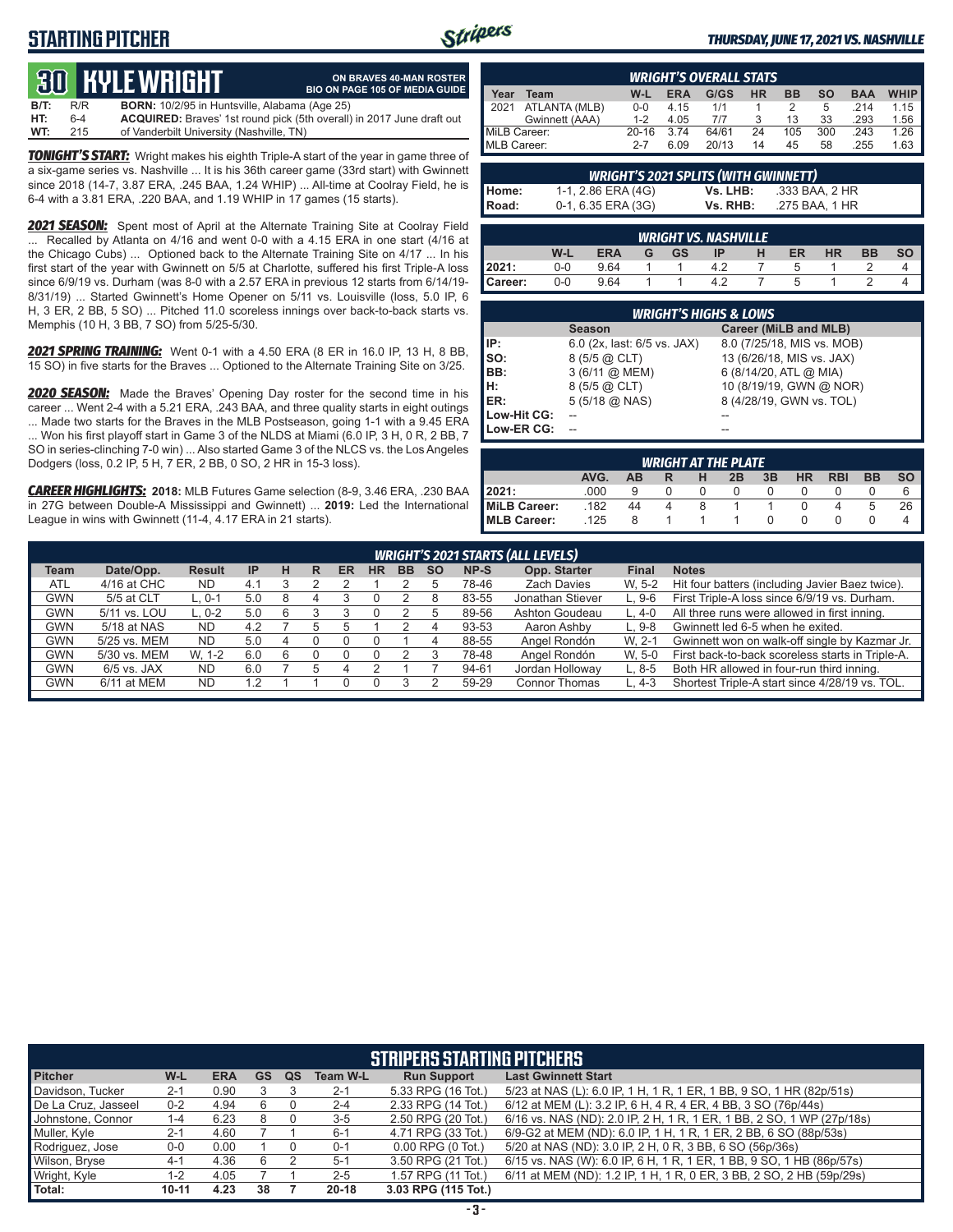## **STARTING PITCHER**



**ON BRAVES 40-MAN ROSTER**

#### *THURSDAY, JUNE 17, 2021 VS. NASHVILLE*

# **30 KYLE WRIGHT**

|      |     | <u>tus bible white in</u>                            | <b>BIO ON PAGE 105 OF MEDIA GUIDE</b>                                        |
|------|-----|------------------------------------------------------|------------------------------------------------------------------------------|
| B/T: | R/R | <b>BORN:</b> 10/2/95 in Huntsville, Alabama (Age 25) |                                                                              |
| HT:  | 6-4 |                                                      | <b>ACQUIRED:</b> Braves' 1st round pick (5th overall) in 2017 June draft out |
| WT:  | 215 | of Vanderbilt University (Nashville, TN)             |                                                                              |

*TONIGHT'S START:* Wright makes his eighth Triple-A start of the year in game three of a six-game series vs. Nashville ... It is his 36th career game (33rd start) with Gwinnett since 2018 (14-7, 3.87 ERA, .245 BAA, 1.24 WHIP) ... All-time at Coolray Field, he is 6-4 with a 3.81 ERA, .220 BAA, and 1.19 WHIP in 17 games (15 starts).

**2021 SEASON:** Spent most of April at the Alternate Training Site at Coolray Field ... Recalled by Atlanta on 4/16 and went 0-0 with a 4.15 ERA in one start (4/16 at the Chicago Cubs) ... Optioned back to the Alternate Training Site on 4/17 ... In his first start of the year with Gwinnett on 5/5 at Charlotte, suffered his first Triple-A loss since 6/9/19 vs. Durham (was 8-0 with a 2.57 ERA in previous 12 starts from 6/14/19- 8/31/19) ... Started Gwinnett's Home Opener on 5/11 vs. Louisville (loss, 5.0 IP, 6 H, 3 ER, 2 BB, 5 SO) ... Pitched 11.0 scoreless innings over back-to-back starts vs. Memphis (10 H, 3 BB, 7 SO) from 5/25-5/30.

*2021 SPRING TRAINING:* Went 0-1 with a 4.50 ERA (8 ER in 16.0 IP, 13 H, 8 BB, 15 SO) in five starts for the Braves ... Optioned to the Alternate Training Site on 3/25.

*2020 SEASON:* Made the Braves' Opening Day roster for the second time in his career ... Went 2-4 with a 5.21 ERA, .243 BAA, and three quality starts in eight outings ... Made two starts for the Braves in the MLB Postseason, going 1-1 with a 9.45 ERA ... Won his first playoff start in Game 3 of the NLDS at Miami (6.0 IP, 3 H, 0 R, 2 BB, 7 SO in series-clinching 7-0 win) ... Also started Game 3 of the NLCS vs. the Los Angeles Dodgers (loss, 0.2 IP, 5 H, 7 ER, 2 BB, 0 SO, 2 HR in 15-3 loss).

*CAREER HIGHLIGHTS:* **2018:** MLB Futures Game selection (8-9, 3.46 ERA, .230 BAA in 27G between Double-A Mississippi and Gwinnett) ... **2019:** Led the International League in wins with Gwinnett (11-4, 4.17 ERA in 21 starts).

| <b>WRIGHT'S OVERALL STATS</b>                                                           |                |         |      |       |    |     |     |      |             |
|-----------------------------------------------------------------------------------------|----------------|---------|------|-------|----|-----|-----|------|-------------|
| <b>HR</b><br>G/GS<br><b>BB</b><br>W-L<br>so<br><b>BAA</b><br><b>ERA</b><br>Team<br>Year |                |         |      |       |    |     |     |      | <b>WHIP</b> |
| 2021                                                                                    | ATLANTA (MLB)  | $0 - 0$ | 4.15 | 1/1   |    |     | 5   | .214 | 1.15        |
|                                                                                         | Gwinnett (AAA) | $1 - 2$ | 4.05 | 7/7   |    | 13  | 33  | .293 | 1.56        |
| MiLB Career:<br>$20 - 16$                                                               |                |         | 374  | 64/61 | 24 | 105 | 300 | .243 | 1.26        |
| MLB Career:                                                                             |                | $2 - 7$ | 6.09 | 20/13 | 14 | 45  | 58  | .255 | 1.63        |

| <b>WRIGHT'S 2021 SPLITS (WITH GWINNETT)</b> |                    |          |                |  |  |  |  |  |  |  |
|---------------------------------------------|--------------------|----------|----------------|--|--|--|--|--|--|--|
| Home:                                       | 1-1, 2.86 ERA (4G) | Vs. LHB: | .333 BAA. 2 HR |  |  |  |  |  |  |  |
| Road:                                       | 0-1, 6.35 ERA (3G) | Vs. RHB: | .275 BAA. 1 HR |  |  |  |  |  |  |  |

|                                                                    | <b>WRIGHT VS. NASHVILLE</b> |      |  |  |  |  |  |  |  |  |  |  |
|--------------------------------------------------------------------|-----------------------------|------|--|--|--|--|--|--|--|--|--|--|
| W-L<br><b>ERA</b><br><b>GS</b><br>HR<br><b>BB</b><br>ER<br>IP<br>G |                             |      |  |  |  |  |  |  |  |  |  |  |
| 2021:                                                              | $0 - 0$                     | 9.64 |  |  |  |  |  |  |  |  |  |  |
| Career:                                                            | 0-0                         | 9.64 |  |  |  |  |  |  |  |  |  |  |

| <b>WRIGHT'S HIGHS &amp; LOWS</b> |                             |                            |  |  |  |  |  |  |  |  |
|----------------------------------|-----------------------------|----------------------------|--|--|--|--|--|--|--|--|
|                                  | <b>Season</b>               | Career (MiLB and MLB)      |  |  |  |  |  |  |  |  |
| IP:                              | 6.0 (2x, last: 6/5 vs. JAX) | 8.0 (7/25/18, MIS vs. MOB) |  |  |  |  |  |  |  |  |
| Iso:                             | $8(5/5)$ $\omega$ CLT)      | 13 (6/26/18, MIS vs. JAX)  |  |  |  |  |  |  |  |  |
| IBB:                             | 3 (6/11 @ MEM)              | 6 (8/14/20, ATL @ MIA)     |  |  |  |  |  |  |  |  |
| IH:                              | $8(5/5)$ $@$ CLT)           | 10 (8/19/19, GWN @ NOR)    |  |  |  |  |  |  |  |  |
| ER:                              | $5(5/18)$ ( $0. NAS$ )      | 8 (4/28/19, GWN vs. TOL)   |  |  |  |  |  |  |  |  |
| Low-Hit CG:                      |                             |                            |  |  |  |  |  |  |  |  |
| Low-ER CG:                       |                             |                            |  |  |  |  |  |  |  |  |

| <b>WRIGHT AT THE PLATE</b>                                                       |      |    |   |  |  |  |  |  |    |    |  |  |  |
|----------------------------------------------------------------------------------|------|----|---|--|--|--|--|--|----|----|--|--|--|
| <b>SO</b><br>AVG.<br>HR<br>3B<br><b>BB</b><br>2B<br><b>RBI</b><br><b>AB</b><br>н |      |    |   |  |  |  |  |  |    |    |  |  |  |
| 2021:                                                                            | .000 |    | O |  |  |  |  |  |    | 6  |  |  |  |
| MiLB Career:                                                                     | .182 | 44 |   |  |  |  |  |  | :C | 26 |  |  |  |
| <b>IMLB Career:</b>                                                              | .125 | 8  |   |  |  |  |  |  |    |    |  |  |  |

|             | <b>WRIGHT'S 2021 STARTS (ALL LEVELS)</b> |               |                 |   |   |    |    |           |           |       |                      |              |                                                  |
|-------------|------------------------------------------|---------------|-----------------|---|---|----|----|-----------|-----------|-------|----------------------|--------------|--------------------------------------------------|
| <b>Team</b> | Date/Opp.                                | <b>Result</b> | IP              | н | R | ER | HR | <b>BB</b> | <b>SO</b> | NP-S  | Opp. Starter         | <b>Final</b> | <b>Notes</b>                                     |
| <b>ATL</b>  | 4/16 at CHC                              | <b>ND</b>     | 4.1             |   |   |    |    |           |           | 78-46 | <b>Zach Davies</b>   | W. 5-2       | Hit four batters (including Javier Baez twice).  |
| GWN         | 5/5 at CLT                               | $L.0-1$       | 5.C             | 8 |   |    |    |           |           | 83-55 | Jonathan Stiever     | $L.9-6$      | First Triple-A loss since 6/9/19 vs. Durham.     |
| <b>GWN</b>  | 5/11 vs. LOU                             | $L. 0-2$      | 5.C             | 6 |   |    |    |           |           | 89-56 | Ashton Goudeau       | $L.4-0$      | All three runs were allowed in first inning.     |
| <b>GWN</b>  | 5/18 at NAS                              | <b>ND</b>     | 4.2             |   |   |    |    |           |           | 93-53 | Aaron Ashby          | $L.9-8$      | Gwinnett led 6-5 when he exited.                 |
| GWN         | 5/25 vs. MEM                             | <b>ND</b>     | 5.0             |   |   |    |    |           | 4         | 88-55 | Angel Rondón         | W. 2-1       | Gwinnett won on walk-off single by Kazmar Jr.    |
| <b>GWN</b>  | 5/30 vs. MEM                             | W. 1-2        | 6. <sub>C</sub> | 6 |   |    |    |           |           | 78-48 | Angel Rondón         | W. 5-0       | First back-to-back scoreless starts in Triple-A. |
| GWN         | $6/5$ vs. JAX                            | <b>ND</b>     | 6.0             |   |   |    |    |           |           | 94-61 | Jordan Holloway      | $L.8-5$      | Both HR allowed in four-run third inning.        |
| GWN         | 6/11 at MEM                              | <b>ND</b>     | $\cdot$ 2       |   |   |    |    |           |           | 59-29 | <b>Connor Thomas</b> | . 4-3        | Shortest Triple-A start since 4/28/19 vs. TOL.   |
|             |                                          |               |                 |   |   |    |    |           |           |       |                      |              |                                                  |

| <b>STRIPERS STARTING PITCHERS</b> |           |            |           |    |                 |                       |                                                                       |  |  |  |  |
|-----------------------------------|-----------|------------|-----------|----|-----------------|-----------------------|-----------------------------------------------------------------------|--|--|--|--|
| <b>Pitcher</b>                    | W-L       | <b>ERA</b> | <b>GS</b> | QS | <b>Team W-L</b> | <b>Run Support</b>    | <b>Last Gwinnett Start</b>                                            |  |  |  |  |
| Davidson, Tucker                  | $2 - 1$   | 0.90       |           |    | $2 - 1$         | 5.33 RPG (16 Tot.)    | 5/23 at NAS (L): 6.0 IP, 1 H, 1 R, 1 ER, 1 BB, 9 SO, 1 HR (82p/51s)   |  |  |  |  |
| De La Cruz, Jasseel               | $0 - 2$   | 4.94       | 6         |    | $2 - 4$         | 2.33 RPG (14 Tot.)    | 6/12 at MEM (L): 3.2 IP, 6 H, 4 R, 4 ER, 4 BB, 3 SO (76p/44s)         |  |  |  |  |
| Johnstone, Connor                 | $1 - 4$   | 6.23       |           |    | $3-5$           | 2.50 RPG (20 Tot.)    | 6/16 vs. NAS (ND): 2.0 IP, 2 H, 1 R, 1 ER, 1 BB, 2 SO, 1 WP (27p/18s) |  |  |  |  |
| Muller, Kyle                      | $2 - 1$   | 4.60       |           |    | $6 - 1$         | 4.71 RPG (33 Tot.)    | 6/9-G2 at MEM (ND): 6.0 IP, 1 H, 1 R, 1 ER, 2 BB, 6 SO (88p/53s)      |  |  |  |  |
| Rodriguez, Jose                   | $0 - 0$   | 0.00       |           |    | $0 - 1$         | $0.00$ RPG $(0$ Tot.) | 5/20 at NAS (ND): 3.0 IP, 2 H, 0 R, 3 BB, 6 SO (56p/36s)              |  |  |  |  |
| Wilson, Bryse                     | $4 - 1$   | 4.36       | 6         |    | $5-1$           | 3.50 RPG (21 Tot.)    | 6/15 vs. NAS (W): 6.0 IP, 6 H, 1 R, 1 ER, 1 BB, 9 SO, 1 HB (86p/57s)  |  |  |  |  |
| Wright, Kyle                      | 1-2       | 4.05       |           |    | $2 - 5$         | 1.57 RPG (11 Tot.)    | 6/11 at MEM (ND): 1.2 IP, 1 H, 1 R, 0 ER, 3 BB, 2 SO, 2 HB (59p/29s)  |  |  |  |  |
| Total:                            | $10 - 11$ | 4.23       | 38        |    | $20 - 18$       | 3.03 RPG (115 Tot.)   |                                                                       |  |  |  |  |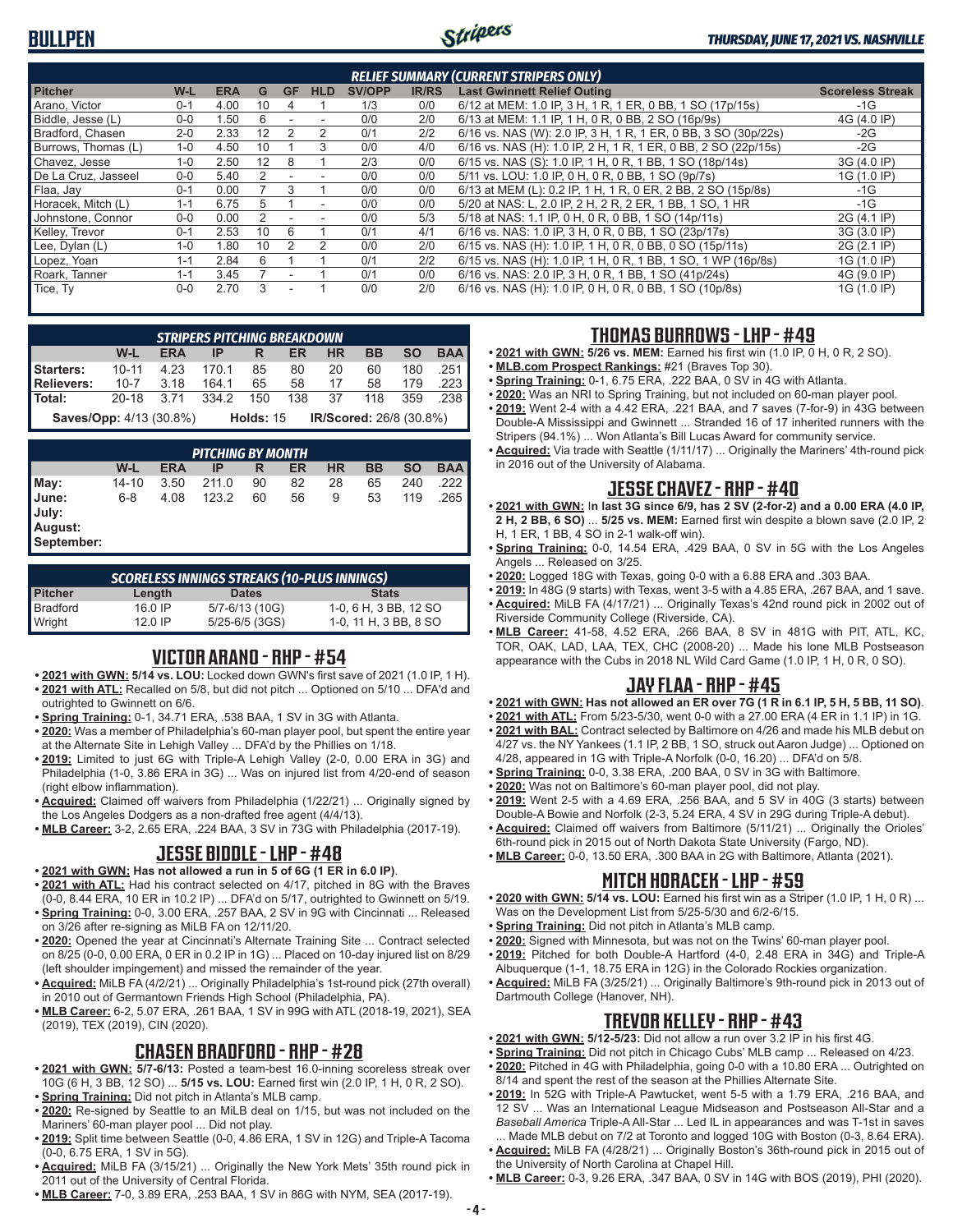### **BULLPEN**



|                     |         |            |    |           |                          |               |              | <b>RELIEF SUMMARY (CURRENT STRIPERS ONLY)</b>                  |                         |
|---------------------|---------|------------|----|-----------|--------------------------|---------------|--------------|----------------------------------------------------------------|-------------------------|
| <b>Pitcher</b>      | W-L     | <b>ERA</b> | G  | <b>GF</b> | <b>HLD</b>               | <b>SV/OPP</b> | <b>IR/RS</b> | <b>Last Gwinnett Relief Outing</b>                             | <b>Scoreless Streak</b> |
| Arano. Victor       | $0 - 1$ | 4.00       | 10 | 4         |                          | 1/3           | 0/0          | 6/12 at MEM: 1.0 IP, 3 H, 1 R, 1 ER, 0 BB, 1 SO (17p/15s)      | $-1G$                   |
| Biddle, Jesse (L)   | $0 - 0$ | .50        | 6  |           |                          | 0/0           | 2/0          | 6/13 at MEM: 1.1 IP, 1 H, 0 R, 0 BB, 2 SO (16p/9s)             | 4G (4.0 IP)             |
| Bradford, Chasen    | $2 - 0$ | 2.33       | 12 |           | $\mathcal{P}$            | 0/1           | 2/2          | 6/16 vs. NAS (W): 2.0 IP, 3 H, 1 R, 1 ER, 0 BB, 3 SO (30p/22s) | $-2G$                   |
| Burrows, Thomas (L) | $1 - 0$ | 4.50       | 10 |           | 3                        | 0/0           | 4/0          | 6/16 vs. NAS (H): 1.0 IP, 2 H, 1 R, 1 ER, 0 BB, 2 SO (22p/15s) | $-2G$                   |
| Chavez, Jesse       | $1 - 0$ | 2.50       | 12 | 8         |                          | 2/3           | 0/0          | 6/15 vs. NAS (S): 1.0 IP, 1 H, 0 R, 1 BB, 1 SO (18p/14s)       | 3G (4.0 IP)             |
| De La Cruz. Jasseel | $0 - 0$ | 5.40       | っ  |           |                          | 0/0           | 0/0          | 5/11 vs. LOU: 1.0 IP, 0 H, 0 R, 0 BB, 1 SO (9p/7s)             | 1G (1.0 IP)             |
| Flaa, Jay           | $0 - 1$ | 0.00       |    | 3         |                          | 0/0           | 0/0          | 6/13 at MEM (L): 0.2 IP, 1 H, 1 R, 0 ER, 2 BB, 2 SO (15p/8s)   | $-1G$                   |
| Horacek, Mitch (L)  | $1 - 1$ | 6.75       |    |           | $\overline{\phantom{a}}$ | 0/0           | 0/0          | 5/20 at NAS: L, 2.0 IP, 2 H, 2 R, 2 ER, 1 BB, 1 SO, 1 HR       | $-1G$                   |
| Johnstone, Connor   | $0-0$   | 0.00       |    |           |                          | 0/0           | 5/3          | 5/18 at NAS: 1.1 IP, 0 H, 0 R, 0 BB, 1 SO (14p/11s)            | 2G (4.1 IP)             |
| Kelley, Trevor      | $0 - 1$ | 2.53       | 10 | 6         |                          | 0/1           | 4/1          | 6/16 vs. NAS: 1.0 IP, 3 H, 0 R, 0 BB, 1 SO (23p/17s)           | 3G (3.0 IP)             |
| Lee, Dylan (L)      | $1 - 0$ | .80        | 10 |           | 2                        | 0/0           | 2/0          | 6/15 vs. NAS (H): 1.0 IP, 1 H, 0 R, 0 BB, 0 SO (15p/11s)       | 2G (2.1 IP)             |
| Lopez, Yoan         | $1 - 1$ | 2.84       | 6  |           |                          | 0/1           | 2/2          | 6/15 vs. NAS (H): 1.0 IP, 1 H, 0 R, 1 BB, 1 SO, 1 WP (16p/8s)  | 1G (1.0 IP)             |
| Roark, Tanner       | $1 - 1$ | 3.45       |    |           |                          | 0/1           | 0/0          | 6/16 vs. NAS: 2.0 IP, 3 H, 0 R, 1 BB, 1 SO (41p/24s)           | 4G (9.0 IP)             |
| Tice, Ty            | $0 - 0$ | 2.70       | 3  |           |                          | 0/0           | 2/0          | 6/16 vs. NAS (H): 1.0 IP, 0 H, 0 R, 0 BB, 1 SO (10p/8s)        | 1G (1.0 IP)             |

| <b>STRIPERS PITCHING BREAKDOWN</b>                                            |             |            |       |     |           |           |           |           |            |  |  |
|-------------------------------------------------------------------------------|-------------|------------|-------|-----|-----------|-----------|-----------|-----------|------------|--|--|
|                                                                               | W-L         | <b>ERA</b> | IP    | R   | <b>ER</b> | <b>HR</b> | <b>BB</b> | <b>SO</b> | <b>BAA</b> |  |  |
| <b>Starters:</b>                                                              | $10 - 11$   | 4.23       | 170.1 | 85  | 80        | 20        | 60        | 180       | .251       |  |  |
| Relievers:                                                                    | $10-7$ 3.18 |            | 164.1 | 65  | 58        | 17        | 58        | 179       | .223       |  |  |
| l Total:                                                                      | 20-18       | 3.71       | 334.2 | 150 |           | 138 37    | 118       | 359       | .238       |  |  |
| IR/Scored: 26/8 (30.8%)<br><b>Saves/Opp:</b> 4/13 (30.8%)<br><b>Holds: 15</b> |             |            |       |     |           |           |           |           |            |  |  |

|                                         | <b>PITCHING BY MONTH</b> |            |       |    |    |           |    |           |            |  |  |  |
|-----------------------------------------|--------------------------|------------|-------|----|----|-----------|----|-----------|------------|--|--|--|
|                                         | W-L                      | <b>ERA</b> | IP    | R  | ER | <b>HR</b> | BB | <b>SO</b> | <b>BAA</b> |  |  |  |
| May:                                    | 14-10                    | 3.50       | 211.0 | 90 | 82 | 28        | 65 | 240       | .222       |  |  |  |
| June:<br>July:<br>August:<br>September: | $6 - 8$                  | 4.08       | 123.2 | 60 | 56 | 9         | 53 | 119       | .265       |  |  |  |

| SCORELESS INNINGS STREAKS (10-PLUS INNINGS) |         |                    |                       |  |  |  |  |  |  |  |
|---------------------------------------------|---------|--------------------|-----------------------|--|--|--|--|--|--|--|
| Pitcher                                     | Length  | <b>Dates</b>       | <b>Stats</b>          |  |  |  |  |  |  |  |
|                                             | 16.0 IP | 5/7-6/13 (10G)     | 1-0, 6 H, 3 BB, 12 SO |  |  |  |  |  |  |  |
| Bradford<br>Wright                          | 12.0 IP | $5/25 - 6/5$ (3GS) | 1-0, 11 H, 3 BB, 8 SO |  |  |  |  |  |  |  |

#### **VICTOR ARANO - RHP - #54**

- **• 2021 with GWN: 5/14 vs. LOU:** Locked down GWN's first save of 2021 (1.0 IP, 1 H). **• 2021 with ATL:** Recalled on 5/8, but did not pitch ... Optioned on 5/10 ... DFA'd and outrighted to Gwinnett on 6/6.
- **• Spring Training:** 0-1, 34.71 ERA, .538 BAA, 1 SV in 3G with Atlanta.
- **• 2020:** Was a member of Philadelphia's 60-man player pool, but spent the entire year at the Alternate Site in Lehigh Valley ... DFA'd by the Phillies on 1/18.
- **• 2019:** Limited to just 6G with Triple-A Lehigh Valley (2-0, 0.00 ERA in 3G) and Philadelphia (1-0, 3.86 ERA in 3G) ... Was on injured list from 4/20-end of season (right elbow inflammation).
- **• Acquired:** Claimed off waivers from Philadelphia (1/22/21) ... Originally signed by the Los Angeles Dodgers as a non-drafted free agent (4/4/13).
- **• MLB Career:** 3-2, 2.65 ERA, .224 BAA, 3 SV in 73G with Philadelphia (2017-19).

#### **JESSE BIDDLE - LHP - #48**

- **• 2021 with GWN: Has not allowed a run in 5 of 6G (1 ER in 6.0 IP)**.
- **• 2021 with ATL:** Had his contract selected on 4/17, pitched in 8G with the Braves
- (0-0, 8.44 ERA, 10 ER in 10.2 IP) ... DFA'd on 5/17, outrighted to Gwinnett on 5/19. **• Spring Training:** 0-0, 3.00 ERA, .257 BAA, 2 SV in 9G with Cincinnati ... Released on 3/26 after re-signing as MiLB FA on 12/11/20.
- **• 2020:** Opened the year at Cincinnati's Alternate Training Site ... Contract selected on 8/25 (0-0, 0.00 ERA, 0 ER in 0.2 IP in 1G) ... Placed on 10-day injured list on 8/29 (left shoulder impingement) and missed the remainder of the year.
- **• Acquired:** MiLB FA (4/2/21) ... Originally Philadelphia's 1st-round pick (27th overall) in 2010 out of Germantown Friends High School (Philadelphia, PA).
- **• MLB Career:** 6-2, 5.07 ERA, .261 BAA, 1 SV in 99G with ATL (2018-19, 2021), SEA (2019), TEX (2019), CIN (2020).

#### **CHASEN BRADFORD - RHP - #28**

- **• 2021 with GWN: 5/7-6/13:** Posted a team-best 16.0-inning scoreless streak over 10G (6 H, 3 BB, 12 SO) ... **5/15 vs. LOU:** Earned first win (2.0 IP, 1 H, 0 R, 2 SO). **• Spring Training:** Did not pitch in Atlanta's MLB camp.
- **• 2020:** Re-signed by Seattle to an MiLB deal on 1/15, but was not included on the Mariners' 60-man player pool ... Did not play.
- **• 2019:** Split time between Seattle (0-0, 4.86 ERA, 1 SV in 12G) and Triple-A Tacoma (0-0, 6.75 ERA, 1 SV in 5G).
- **• Acquired:** MiLB FA (3/15/21) ... Originally the New York Mets' 35th round pick in 2011 out of the University of Central Florida.
- **• MLB Career:** 7-0, 3.89 ERA, .253 BAA, 1 SV in 86G with NYM, SEA (2017-19).

#### **THOMAS BURROWS - LHP - #49**

- **• 2021 with GWN: 5/26 vs. MEM:** Earned his first win (1.0 IP, 0 H, 0 R, 2 SO).
- **• MLB.com Prospect Rankings:** #21 (Braves Top 30).
- **• Spring Training:** 0-1, 6.75 ERA, .222 BAA, 0 SV in 4G with Atlanta.
- **• 2020:** Was an NRI to Spring Training, but not included on 60-man player pool. **• 2019:** Went 2-4 with a 4.42 ERA, .221 BAA, and 7 saves (7-for-9) in 43G between Double-A Mississippi and Gwinnett ... Stranded 16 of 17 inherited runners with the Stripers (94.1%) ... Won Atlanta's Bill Lucas Award for community service.
- **• Acquired:** Via trade with Seattle (1/11/17) ... Originally the Mariners' 4th-round pick in 2016 out of the University of Alabama.

### **JESSE CHAVEZ - RHP - #40**

- **• 2021 with GWN:** I**n last 3G since 6/9, has 2 SV (2-for-2) and a 0.00 ERA (4.0 IP, 2 H, 2 BB, 6 SO)** ... **5/25 vs. MEM:** Earned first win despite a blown save (2.0 IP, 2 H, 1 ER, 1 BB, 4 SO in 2-1 walk-off win).
- **• Spring Training:** 0-0, 14.54 ERA, .429 BAA, 0 SV in 5G with the Los Angeles Angels ... Released on 3/25.
- **• 2020:** Logged 18G with Texas, going 0-0 with a 6.88 ERA and .303 BAA.
- **• 2019:** In 48G (9 starts) with Texas, went 3-5 with a 4.85 ERA, .267 BAA, and 1 save. **• Acquired:** MiLB FA (4/17/21) ... Originally Texas's 42nd round pick in 2002 out of
- Riverside Community College (Riverside, CA).
- **• MLB Career:** 41-58, 4.52 ERA, .266 BAA, 8 SV in 481G with PIT, ATL, KC, TOR, OAK, LAD, LAA, TEX, CHC (2008-20) ... Made his lone MLB Postseason appearance with the Cubs in 2018 NL Wild Card Game (1.0 IP, 1 H, 0 R, 0 SO).

### **JAY FLAA - RHP - #45**

- **• 2021 with GWN: Has not allowed an ER over 7G (1 R in 6.1 IP, 5 H, 5 BB, 11 SO)**.
- **• 2021 with ATL:** From 5/23-5/30, went 0-0 with a 27.00 ERA (4 ER in 1.1 IP) in 1G.
- **• 2021 with BAL:** Contract selected by Baltimore on 4/26 and made his MLB debut on 4/27 vs. the NY Yankees (1.1 IP, 2 BB, 1 SO, struck out Aaron Judge) ... Optioned on 4/28, appeared in 1G with Triple-A Norfolk (0-0, 16.20) ... DFA'd on 5/8.
- **• Spring Training:** 0-0, 3.38 ERA, .200 BAA, 0 SV in 3G with Baltimore.
- **• 2020:** Was not on Baltimore's 60-man player pool, did not play.
- **• 2019:** Went 2-5 with a 4.69 ERA, .256 BAA, and 5 SV in 40G (3 starts) between Double-A Bowie and Norfolk (2-3, 5.24 ERA, 4 SV in 29G during Triple-A debut).
- **• Acquired:** Claimed off waivers from Baltimore (5/11/21) ... Originally the Orioles' 6th-round pick in 2015 out of North Dakota State University (Fargo, ND).
- **• MLB Career:** 0-0, 13.50 ERA, .300 BAA in 2G with Baltimore, Atlanta (2021).

### **MITCH HORACEK - LHP - #59**

- **• 2020 with GWN: 5/14 vs. LOU:** Earned his first win as a Striper (1.0 IP, 1 H, 0 R) ... Was on the Development List from 5/25-5/30 and 6/2-6/15.
- **• Spring Training:** Did not pitch in Atlanta's MLB camp.
- **• 2020:** Signed with Minnesota, but was not on the Twins' 60-man player pool.
- **• 2019:** Pitched for both Double-A Hartford (4-0, 2.48 ERA in 34G) and Triple-A Albuquerque (1-1, 18.75 ERA in 12G) in the Colorado Rockies organization.
- **• Acquired:** MiLB FA (3/25/21) ... Originally Baltimore's 9th-round pick in 2013 out of Dartmouth College (Hanover, NH).

### **TREVOR KELLEY - RHP - #43**

- **• 2021 with GWN: 5/12-5/23:** Did not allow a run over 3.2 IP in his first 4G.
- **• Spring Training:** Did not pitch in Chicago Cubs' MLB camp ... Released on 4/23. **• 2020:** Pitched in 4G with Philadelphia, going 0-0 with a 10.80 ERA ... Outrighted on
- 8/14 and spent the rest of the season at the Phillies Alternate Site. **• 2019:** In 52G with Triple-A Pawtucket, went 5-5 with a 1.79 ERA, .216 BAA, and 12 SV ... Was an International League Midseason and Postseason All-Star and a *Baseball America* Triple-A All-Star ... Led IL in appearances and was T-1st in saves
- ... Made MLB debut on 7/2 at Toronto and logged 10G with Boston (0-3, 8.64 ERA). **• Acquired:** MiLB FA (4/28/21) ... Originally Boston's 36th-round pick in 2015 out of the University of North Carolina at Chapel Hill.
- **• MLB Career:** 0-3, 9.26 ERA, .347 BAA, 0 SV in 14G with BOS (2019), PHI (2020).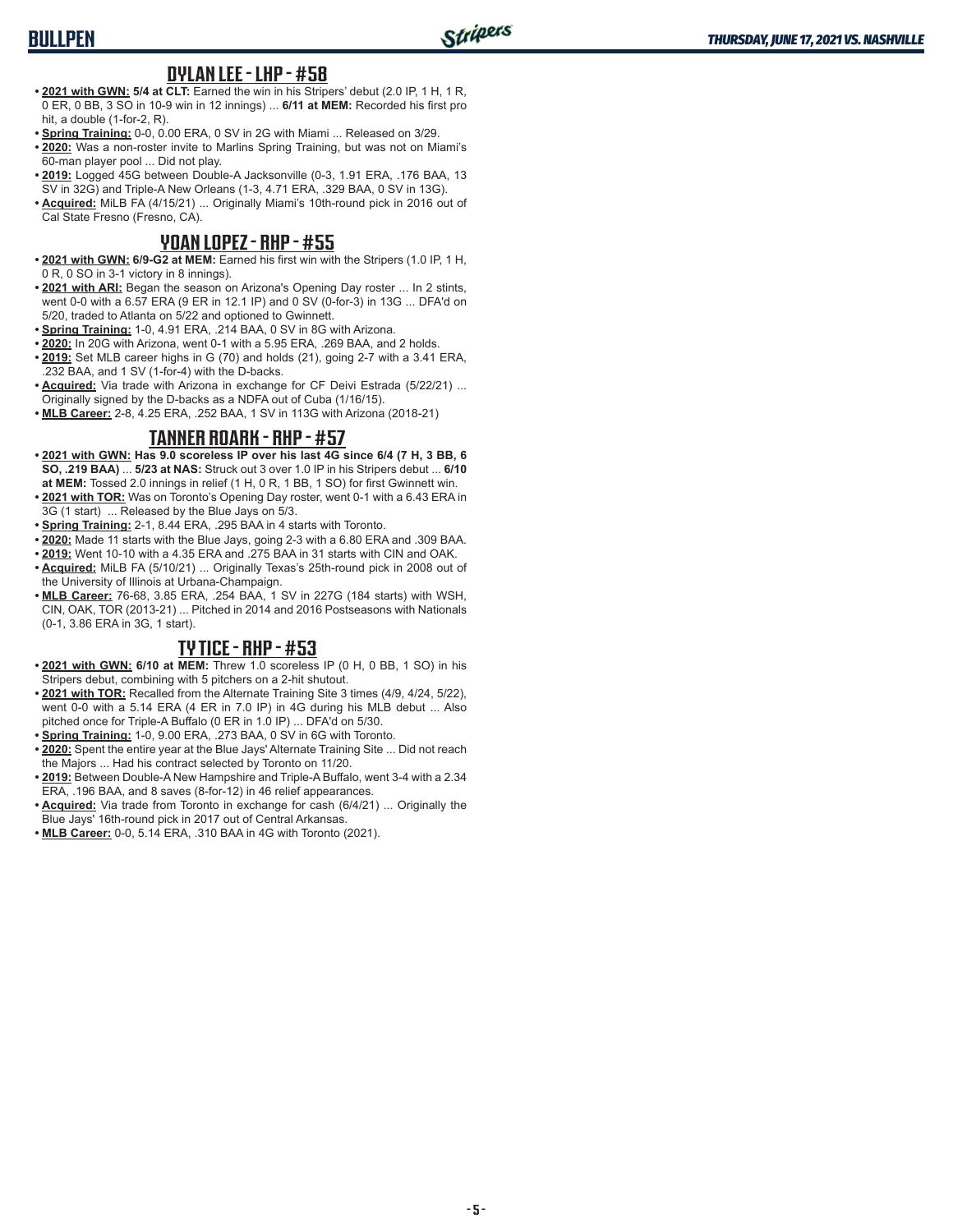### **BULLPEN**

#### **DYLAN LEE - LHP - #58**

- **• 2021 with GWN: 5/4 at CLT:** Earned the win in his Stripers' debut (2.0 IP, 1 H, 1 R, 0 ER, 0 BB, 3 SO in 10-9 win in 12 innings) ... **6/11 at MEM:** Recorded his first pro hit, a double (1-for-2, R).
- **• Spring Training:** 0-0, 0.00 ERA, 0 SV in 2G with Miami ... Released on 3/29.
- **• 2020:** Was a non-roster invite to Marlins Spring Training, but was not on Miami's 60-man player pool ... Did not play.
- **• 2019:** Logged 45G between Double-A Jacksonville (0-3, 1.91 ERA, .176 BAA, 13 SV in 32G) and Triple-A New Orleans (1-3, 4.71 ERA, .329 BAA, 0 SV in 13G).
- **• Acquired:** MiLB FA (4/15/21) ... Originally Miami's 10th-round pick in 2016 out of Cal State Fresno (Fresno, CA).

#### **YOAN LOPEZ - RHP - #55**

- **• 2021 with GWN: 6/9-G2 at MEM:** Earned his first win with the Stripers (1.0 IP, 1 H, 0 R, 0 SO in 3-1 victory in 8 innings).
- **• 2021 with ARI:** Began the season on Arizona's Opening Day roster ... In 2 stints, went 0-0 with a 6.57 ERA (9 ER in 12.1 IP) and 0 SV (0-for-3) in 13G ... DFA'd on 5/20, traded to Atlanta on 5/22 and optioned to Gwinnett.
- **• Spring Training:** 1-0, 4.91 ERA, .214 BAA, 0 SV in 8G with Arizona.
- **• 2020:** In 20G with Arizona, went 0-1 with a 5.95 ERA, .269 BAA, and 2 holds.
- **• 2019:** Set MLB career highs in G (70) and holds (21), going 2-7 with a 3.41 ERA, .232 BAA, and 1 SV (1-for-4) with the D-backs.
- **• Acquired:** Via trade with Arizona in exchange for CF Deivi Estrada (5/22/21) ... Originally signed by the D-backs as a NDFA out of Cuba (1/16/15).
- **• MLB Career:** 2-8, 4.25 ERA, .252 BAA, 1 SV in 113G with Arizona (2018-21)

#### **TANNER ROARK - RHP - #57**

- **• 2021 with GWN: Has 9.0 scoreless IP over his last 4G since 6/4 (7 H, 3 BB, 6 SO, .219 BAA)** ... **5/23 at NAS:** Struck out 3 over 1.0 IP in his Stripers debut ... **6/10 at MEM:** Tossed 2.0 innings in relief (1 H, 0 R, 1 BB, 1 SO) for first Gwinnett win.
- **• 2021 with TOR:** Was on Toronto's Opening Day roster, went 0-1 with a 6.43 ERA in 3G (1 start) ... Released by the Blue Jays on 5/3.
- **• Spring Training:** 2-1, 8.44 ERA, .295 BAA in 4 starts with Toronto.
- **• 2020:** Made 11 starts with the Blue Jays, going 2-3 with a 6.80 ERA and .309 BAA.
- **• 2019:** Went 10-10 with a 4.35 ERA and .275 BAA in 31 starts with CIN and OAK. **• Acquired:** MiLB FA (5/10/21) ... Originally Texas's 25th-round pick in 2008 out of
- the University of Illinois at Urbana-Champaign.
- **• MLB Career:** 76-68, 3.85 ERA, .254 BAA, 1 SV in 227G (184 starts) with WSH, CIN, OAK, TOR (2013-21) ... Pitched in 2014 and 2016 Postseasons with Nationals (0-1, 3.86 ERA in 3G, 1 start).

#### **TY TICE - RHP - #53**

- **• 2021 with GWN: 6/10 at MEM:** Threw 1.0 scoreless IP (0 H, 0 BB, 1 SO) in his Stripers debut, combining with 5 pitchers on a 2-hit shutout.
- **• 2021 with TOR:** Recalled from the Alternate Training Site 3 times (4/9, 4/24, 5/22), went 0-0 with a 5.14 ERA (4 ER in 7.0 IP) in 4G during his MLB debut ... Also pitched once for Triple-A Buffalo (0 ER in 1.0 IP) ... DFA'd on 5/30.
- **• Spring Training:** 1-0, 9.00 ERA, .273 BAA, 0 SV in 6G with Toronto.
- **• 2020:** Spent the entire year at the Blue Jays' Alternate Training Site ... Did not reach the Majors ... Had his contract selected by Toronto on 11/20.
- **• 2019:** Between Double-A New Hampshire and Triple-A Buffalo, went 3-4 with a 2.34 ERA, .196 BAA, and 8 saves (8-for-12) in 46 relief appearances.
- **• Acquired:** Via trade from Toronto in exchange for cash (6/4/21) ... Originally the Blue Jays' 16th-round pick in 2017 out of Central Arkansas.
- **• MLB Career:** 0-0, 5.14 ERA, .310 BAA in 4G with Toronto (2021).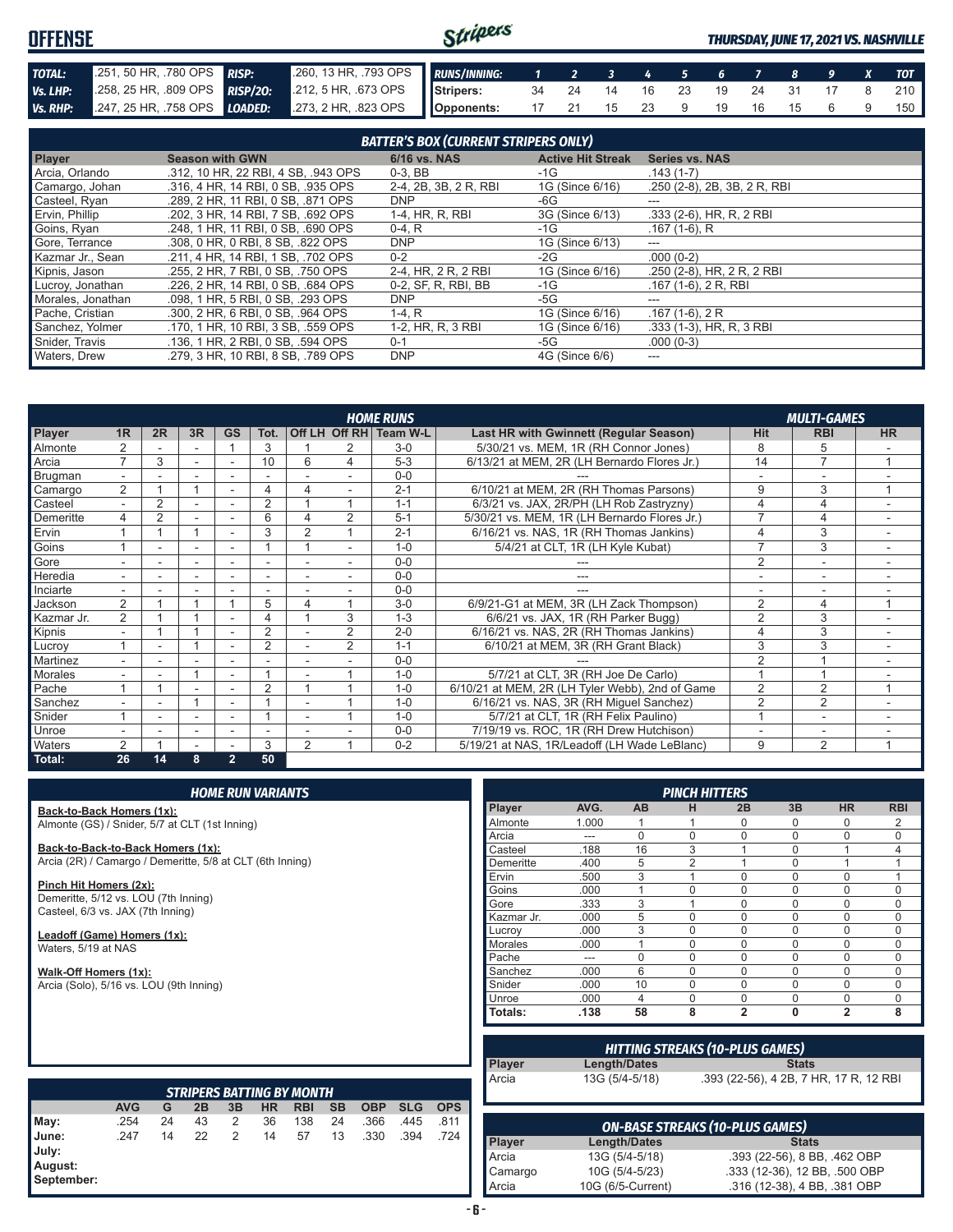#### Stripers **OFFENSE** *THURSDAY, JUNE 17, 2021 VS. NASHVILLE TOTAL:* .251, 50 HR, .780 OPS *RISP:* .260, 13 HR, .793 OPS *RUNS/INNING: 1 2 3 4 5 6 7 8 9 X TOT Vs. LHP:* .258, 25 HR, .809 OPS *RISP/2O:* .212, 5 HR, .673 OPS **Stripers:** 34 24 14 16 23 19 24 31 17 8 210 *Vs. RHP:* .247, 25 HR, .758 OPS *LOADED:* .273, 2 HR, .823 OPS **Opponents:** 17 21 15 23 9 19 16 15 6 9 150

|                   |                                     | <b>BATTER'S BOX (CURRENT STRIPERS ONLY)</b> |                          |                             |
|-------------------|-------------------------------------|---------------------------------------------|--------------------------|-----------------------------|
| <b>Player</b>     | <b>Season with GWN</b>              | 6/16 vs. NAS                                | <b>Active Hit Streak</b> | <b>Series vs. NAS</b>       |
| Arcia, Orlando    | .312, 10 HR, 22 RBI, 4 SB, .943 OPS | $0-3$ , BB                                  | -1G                      | $.143(1-7)$                 |
| Camargo, Johan    | .316, 4 HR, 14 RBI, 0 SB, .935 OPS  | 2-4, 2B, 3B, 2 R, RBI                       | 1G (Since 6/16)          | .250 (2-8), 2B, 3B, 2R, RBI |
| Casteel, Ryan     | .289, 2 HR, 11 RBI, 0 SB, .871 OPS  | <b>DNP</b>                                  | -6G                      | ---                         |
| Ervin, Phillip    | .202, 3 HR, 14 RBI, 7 SB, .692 OPS  | 1-4, HR, R, RBI                             | 3G (Since 6/13)          | $.333(2-6)$ , HR, R, 2 RBI  |
| Goins, Ryan       | .248. 1 HR. 11 RBI. 0 SB. .690 OPS  | $0-4. R$                                    | $-1G$                    | $.167(1-6)$ , R             |
| Gore, Terrance    | .308, 0 HR, 0 RBI, 8 SB, .822 OPS   | <b>DNP</b>                                  | 1G (Since 6/13)          | ---                         |
| Kazmar Jr., Sean  | .211, 4 HR, 14 RBI, 1 SB, .702 OPS  | $0 - 2$                                     | $-2G$                    | $.000(0-2)$                 |
| Kipnis, Jason     | .255, 2 HR, 7 RBI, 0 SB, .750 OPS   | 2-4, HR, 2 R, 2 RBI                         | 1G (Since 6/16)          | .250 (2-8), HR, 2 R, 2 RBI  |
| Lucroy, Jonathan  | .226, 2 HR, 14 RBI, 0 SB, .684 OPS  | 0-2, SF, R, RBI, BB                         | $-1G$                    | $.167(1-6), 2R, RBI$        |
| Morales, Jonathan | .098, 1 HR, 5 RBI, 0 SB, .293 OPS   | <b>DNP</b>                                  | -5G                      |                             |
| Pache, Cristian   | .300, 2 HR, 6 RBI, 0 SB, .964 OPS   | $1-4. R$                                    | 1G (Since 6/16)          | $.167(1-6), 2R$             |
| Sanchez, Yolmer   | .170. 1 HR. 10 RBI. 3 SB. .559 OPS  | 1-2, HR, R, 3 RBI                           | 1G (Since 6/16)          | $.333(1-3)$ , HR, R, 3 RBI  |
| Snider, Travis    | .136, 1 HR, 2 RBI, 0 SB, .594 OPS   | $0 - 1$                                     | -5G                      | $.000(0-3)$                 |
| Waters, Drew      | .279. 3 HR. 10 RBI. 8 SB. .789 OPS  | <b>DNP</b>                                  | 4G (Since 6/6)           |                             |

|                |                          |                |                          |                          |                |                |                | <b>HOME RUNS</b>       |                                                 |                | <b>MULTI-GAMES</b>       |           |
|----------------|--------------------------|----------------|--------------------------|--------------------------|----------------|----------------|----------------|------------------------|-------------------------------------------------|----------------|--------------------------|-----------|
| Player         | 1 <sub>R</sub>           | 2R             | 3R                       | <b>GS</b>                | Tot.           |                |                | Off LH Off RH Team W-L | Last HR with Gwinnett (Regular Season)          | Hit            | <b>RBI</b>               | <b>HR</b> |
| Almonte        |                          |                |                          |                          | 3              |                |                | $3-0$                  | 5/30/21 vs. MEM, 1R (RH Connor Jones)           | 8              | 5                        |           |
| Arcia          | 7                        | 3              | ٠                        |                          | 10             | 6              | 4              | $5 - 3$                | 6/13/21 at MEM, 2R (LH Bernardo Flores Jr.)     | 14             | $\overline{7}$           |           |
| Brugman        |                          |                |                          |                          |                |                |                | $0 - 0$                |                                                 |                |                          |           |
| Camargo        | $\overline{2}$           |                |                          |                          | 4              |                |                | $2 - 1$                | 6/10/21 at MEM, 2R (RH Thomas Parsons)          | 9              | 3                        |           |
| Casteel        | $\overline{\phantom{0}}$ | 2              | $\sim$                   | $\sim$                   | 2              |                |                | $1 - 1$                | 6/3/21 vs. JAX, 2R/PH (LH Rob Zastryzny)        | $\overline{4}$ | 4                        |           |
| Demeritte      | 4                        | $\overline{2}$ | ٠                        |                          | 6              |                | $\overline{2}$ | $5 - 1$                | 5/30/21 vs. MEM, 1R (LH Bernardo Flores Jr.)    | $\overline{ }$ | 4                        |           |
| Ervin          |                          |                |                          |                          | 3              | 2              |                | $2 - 1$                | 6/16/21 vs. NAS, 1R (RH Thomas Jankins)         |                | 3                        |           |
| Goins          |                          |                | ٠                        |                          |                |                |                | $1 - 0$                | 5/4/21 at CLT, 1R (LH Kyle Kubat)               | $\overline{ }$ | 3                        |           |
| Gore           |                          |                | ٠                        |                          |                |                | ۰              | $0 - 0$                |                                                 | $\overline{2}$ | $\sim$                   |           |
| Heredia        |                          |                | ۰                        |                          |                |                |                | $0 - 0$                |                                                 |                |                          |           |
| Inciarte       |                          |                |                          |                          |                |                |                | $0 - 0$                |                                                 |                |                          |           |
| Jackson        | 2                        |                |                          |                          | 5              | 4              |                | $3-0$                  | 6/9/21-G1 at MEM, 3R (LH Zack Thompson)         | $\overline{2}$ | 4                        |           |
| Kazmar Jr.     | $\overline{2}$           |                |                          |                          | 4              |                | 3              | $1 - 3$                | 6/6/21 vs. JAX, 1R (RH Parker Bugg)             | $\overline{2}$ | 3                        |           |
| Kipnis         | $\overline{\phantom{a}}$ |                |                          | $\overline{\phantom{a}}$ | $\overline{2}$ |                | $\overline{2}$ | $2 - 0$                | 6/16/21 vs. NAS, 2R (RH Thomas Jankins)         |                | 3                        | ۰         |
| Lucroy         |                          |                |                          |                          | $\overline{2}$ |                | $\overline{2}$ | $1 - 1$                | 6/10/21 at MEM, 3R (RH Grant Black)             | 3              | 3                        |           |
| Martinez       |                          |                |                          |                          |                |                |                | $0 - 0$                |                                                 | $\overline{2}$ |                          |           |
| <b>Morales</b> |                          |                |                          |                          |                |                |                | $1 - 0$                | 5/7/21 at CLT, 3R (RH Joe De Carlo)             |                |                          |           |
| Pache          |                          |                |                          |                          | $\overline{2}$ |                |                | $1 - 0$                | 6/10/21 at MEM, 2R (LH Tyler Webb), 2nd of Game | $\overline{2}$ | $\overline{2}$           |           |
| Sanchez        |                          |                |                          |                          |                |                |                | $1 - 0$                | 6/16/21 vs. NAS, 3R (RH Miguel Sanchez)         | $\overline{2}$ | $\overline{2}$           |           |
| Snider         |                          |                | ٠                        |                          |                |                |                | $1 - 0$                | 5/7/21 at CLT, 1R (RH Felix Paulino)            |                | $\overline{\phantom{a}}$ |           |
| Unroe          |                          |                | $\overline{\phantom{a}}$ |                          |                |                |                | $0 - 0$                | 7/19/19 vs. ROC, 1R (RH Drew Hutchison)         |                | $\overline{\phantom{a}}$ |           |
| Waters         | 2                        |                | $\overline{\phantom{a}}$ |                          | 3              | $\overline{2}$ |                | $0 - 2$                | 5/19/21 at NAS, 1R/Leadoff (LH Wade LeBlanc)    | 9              | $\overline{2}$           | 4         |
| Total:         | 26                       | 14             | 8                        | $\overline{2}$           | 50             |                |                |                        |                                                 |                |                          |           |

**Back-to-Back Homers (1x):** Almonte (GS) / Snider, 5/7 at CLT (1st Inning)

**Back-to-Back-to-Back Homers (1x):** Arcia (2R) / Camargo / Demeritte, 5/8 at CLT (6th Inning)

**Pinch Hit Homers (2x):** Demeritte, 5/12 vs. LOU (7th Inning) Casteel, 6/3 vs. JAX (7th Inning)

**Leadoff (Game) Homers (1x):** Waters, 5/19 at NAS

**Walk-Off Homers (1x):** Arcia (Solo), 5/16 vs. LOU (9th Inning)

|            |       |           | <b>PINCH HITTERS</b> |                |             |                |            |
|------------|-------|-----------|----------------------|----------------|-------------|----------------|------------|
| Player     | AVG.  | <b>AB</b> | н                    | 2B             | 3B          | <b>HR</b>      | <b>RBI</b> |
| Almonte    | 1.000 | 1         |                      | $\Omega$       | 0           | 0              | 2          |
| Arcia      | ---   | $\Omega$  | $\Omega$             | $\Omega$       | $\Omega$    | $\Omega$       | $\Omega$   |
| Casteel    | .188  | 16        | 3                    | 4              | 0           | 1              | 4          |
| Demeritte  | .400  | 5         | $\overline{2}$       | 1              | $\Omega$    | 1              |            |
| Ervin      | .500  | 3         | 1                    | $\Omega$       | $\mathbf 0$ | $\Omega$       |            |
| Goins      | .000  | 1         | $\Omega$             | $\Omega$       | $\mathbf 0$ | 0              | $\Omega$   |
| Gore       | .333  | 3         | 1                    | $\Omega$       | $\Omega$    | $\Omega$       | $\Omega$   |
| Kazmar Jr. | .000  | 5         | $\Omega$             | $\Omega$       | $\Omega$    | 0              | $\Omega$   |
| Lucrov     | .000  | 3         | $\Omega$             | $\Omega$       | $\Omega$    | $\Omega$       | $\Omega$   |
| Morales    | .000  | 1         | $\Omega$             | $\Omega$       | $\mathbf 0$ | $\Omega$       | $\Omega$   |
| Pache      | ---   | 0         | $\Omega$             | $\Omega$       | 0           | $\Omega$       | $\Omega$   |
| Sanchez    | .000  | 6         | $\Omega$             | $\Omega$       | $\Omega$    | $\Omega$       | $\Omega$   |
| Snider     | .000  | 10        | $\Omega$             | $\Omega$       | $\Omega$    | $\Omega$       | $\Omega$   |
| Unroe      | .000  | 4         | $\Omega$             | $\Omega$       | $\Omega$    | $\Omega$       | $\Omega$   |
| Totals:    | .138  | 58        | 8                    | $\overline{2}$ | $\bf{0}$    | $\overline{2}$ | 8          |

| HITTING STREAKS (10-PLUS GAMES) |                |                                        |  |  |  |
|---------------------------------|----------------|----------------------------------------|--|--|--|
| Player                          | Length/Dates   | <b>Stats</b>                           |  |  |  |
| <b>Arcia</b>                    | 13G (5/4-5/18) | .393 (22-56), 4 2B, 7 HR, 17 R, 12 RBI |  |  |  |
|                                 |                |                                        |  |  |  |

|                                                 | <b>STRIPERS BATTING BY MONTH</b><br><b>AVG</b><br><b>SB</b><br><b>OBP</b><br><b>HR</b><br><b>SLG</b><br><b>RBI</b><br>2B<br>3B<br><b>OPS</b><br>G |    |    |   |    |     |    |      |      |      |
|-------------------------------------------------|---------------------------------------------------------------------------------------------------------------------------------------------------|----|----|---|----|-----|----|------|------|------|
|                                                 |                                                                                                                                                   |    |    |   |    |     |    |      |      |      |
|                                                 | .254                                                                                                                                              | 24 | 43 | 2 | 36 | 138 | 24 | .366 | .445 | .811 |
| May:<br>June:<br>July:<br>August:<br>September: | .247                                                                                                                                              | 14 | 22 | 2 | 14 | 57  | 13 | .330 | .394 | .724 |

| <b>ON-BASE STREAKS (10-PLUS GAMES)</b> |                   |                               |  |  |  |
|----------------------------------------|-------------------|-------------------------------|--|--|--|
| <b>Player</b>                          | Length/Dates      | <b>Stats</b>                  |  |  |  |
| Arcia                                  | 13G (5/4-5/18)    | .393 (22-56), 8 BB, .462 OBP  |  |  |  |
| Camargo                                | 10G (5/4-5/23)    | .333 (12-36), 12 BB, .500 OBP |  |  |  |
| Arcia                                  | 10G (6/5-Current) | .316 (12-38), 4 BB, .381 OBP  |  |  |  |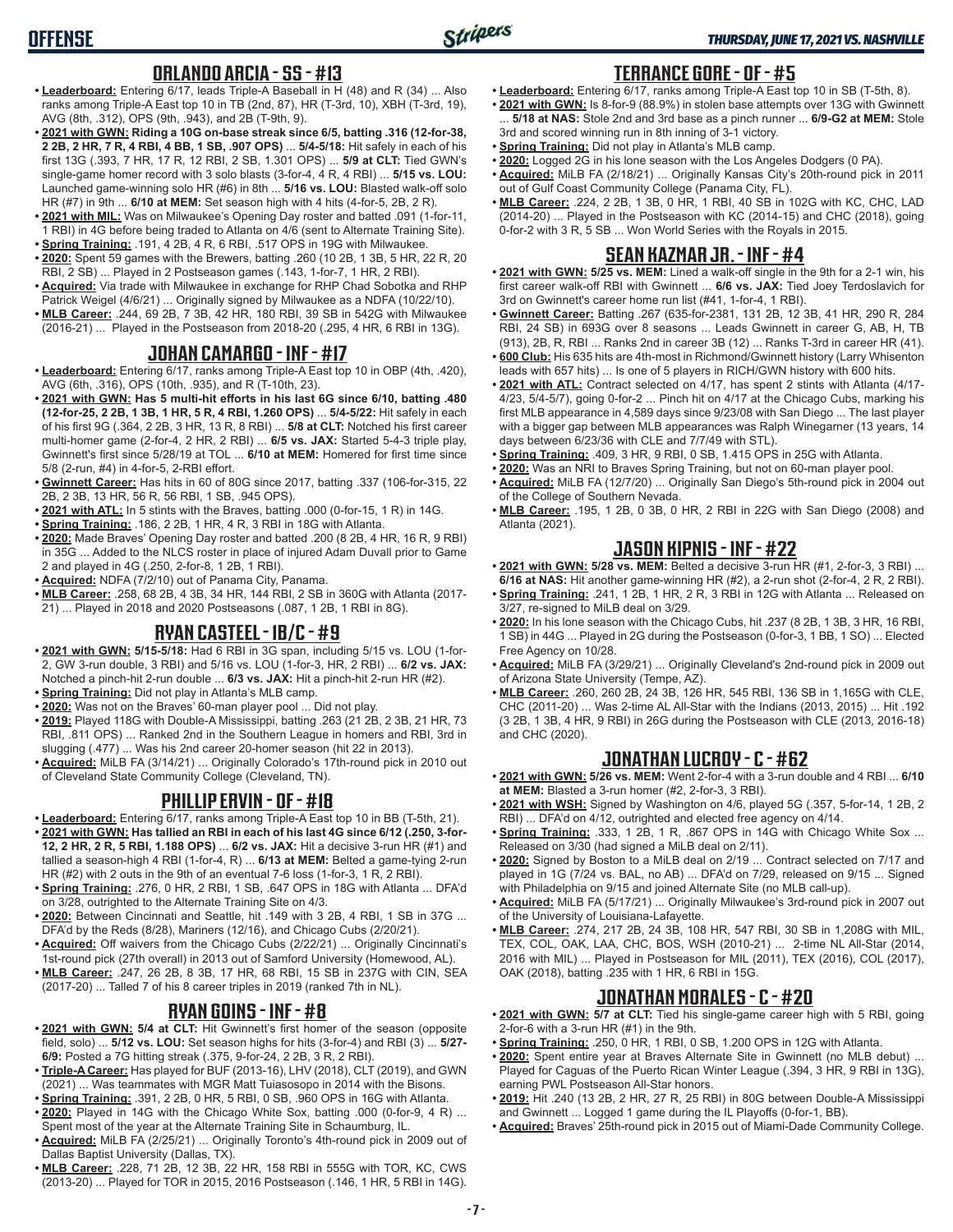#### **ORLANDO ARCIA - SS - #13**

- **• Leaderboard:** Entering 6/17, leads Triple-A Baseball in H (48) and R (34) ... Also ranks among Triple-A East top 10 in TB (2nd, 87), HR (T-3rd, 10), XBH (T-3rd, 19), AVG (8th, .312), OPS (9th, .943), and 2B (T-9th, 9).
- **• 2021 with GWN: Riding a 10G on-base streak since 6/5, batting .316 (12-for-38, 2 2B, 2 HR, 7 R, 4 RBI, 4 BB, 1 SB, .907 OPS)** ... **5/4-5/18:** Hit safely in each of his first 13G (.393, 7 HR, 17 R, 12 RBI, 2 SB, 1.301 OPS) ... **5/9 at CLT:** Tied GWN's single-game homer record with 3 solo blasts (3-for-4, 4 R, 4 RBI) ... **5/15 vs. LOU:** Launched game-winning solo HR (#6) in 8th ... **5/16 vs. LOU:** Blasted walk-off solo HR (#7) in 9th ... **6/10 at MEM:** Set season high with 4 hits (4-for-5, 2B, 2 R).
- **• 2021 with MIL:** Was on Milwaukee's Opening Day roster and batted .091 (1-for-11, 1 RBI) in 4G before being traded to Atlanta on 4/6 (sent to Alternate Training Site).
- **• Spring Training:** .191, 4 2B, 4 R, 6 RBI, .517 OPS in 19G with Milwaukee. **• 2020:** Spent 59 games with the Brewers, batting .260 (10 2B, 1 3B, 5 HR, 22 R, 20
- RBI, 2 SB) ... Played in 2 Postseason games (.143, 1-for-7, 1 HR, 2 RBI).
- **• Acquired:** Via trade with Milwaukee in exchange for RHP Chad Sobotka and RHP Patrick Weigel (4/6/21) ... Originally signed by Milwaukee as a NDFA (10/22/10).
- **• MLB Career:** .244, 69 2B, 7 3B, 42 HR, 180 RBI, 39 SB in 542G with Milwaukee (2016-21) ... Played in the Postseason from 2018-20 (.295, 4 HR, 6 RBI in 13G).

#### **JOHAN CAMARGO - INF - #17**

- **• Leaderboard:** Entering 6/17, ranks among Triple-A East top 10 in OBP (4th, .420), AVG (6th, .316), OPS (10th, .935), and R (T-10th, 23).
- **• 2021 with GWN: Has 5 multi-hit efforts in his last 6G since 6/10, batting .480 (12-for-25, 2 2B, 1 3B, 1 HR, 5 R, 4 RBI, 1.260 OPS)** ... **5/4-5/22:** Hit safely in each of his first 9G (.364, 2 2B, 3 HR, 13 R, 8 RBI) ... **5/8 at CLT:** Notched his first career multi-homer game (2-for-4, 2 HR, 2 RBI) ... **6/5 vs. JAX:** Started 5-4-3 triple play, Gwinnett's first since 5/28/19 at TOL ... **6/10 at MEM:** Homered for first time since 5/8 (2-run, #4) in 4-for-5, 2-RBI effort.
- **• Gwinnett Career:** Has hits in 60 of 80G since 2017, batting .337 (106-for-315, 22 2B, 2 3B, 13 HR, 56 R, 56 RBI, 1 SB, .945 OPS).
- **• 2021 with ATL:** In 5 stints with the Braves, batting .000 (0-for-15, 1 R) in 14G.
- **• Spring Training:** .186, 2 2B, 1 HR, 4 R, 3 RBI in 18G with Atlanta.
- **• 2020:** Made Braves' Opening Day roster and batted .200 (8 2B, 4 HR, 16 R, 9 RBI) in 35G ... Added to the NLCS roster in place of injured Adam Duvall prior to Game 2 and played in 4G (.250, 2-for-8, 1 2B, 1 RBI).
- **• Acquired:** NDFA (7/2/10) out of Panama City, Panama.
- **• MLB Career:** .258, 68 2B, 4 3B, 34 HR, 144 RBI, 2 SB in 360G with Atlanta (2017- 21) ... Played in 2018 and 2020 Postseasons (.087, 1 2B, 1 RBI in 8G).

#### **RYAN CASTEEL - 1B/C - #9**

- **• 2021 with GWN: 5/15-5/18:** Had 6 RBI in 3G span, including 5/15 vs. LOU (1-for-2, GW 3-run double, 3 RBI) and 5/16 vs. LOU (1-for-3, HR, 2 RBI) ... **6/2 vs. JAX:** Notched a pinch-hit 2-run double ... **6/3 vs. JAX:** Hit a pinch-hit 2-run HR (#2).
- **• Spring Training:** Did not play in Atlanta's MLB camp.
- **• 2020:** Was not on the Braves' 60-man player pool ... Did not play.
- **• 2019:** Played 118G with Double-A Mississippi, batting .263 (21 2B, 2 3B, 21 HR, 73 RBI, .811 OPS) ... Ranked 2nd in the Southern League in homers and RBI, 3rd in slugging (.477) ... Was his 2nd career 20-homer season (hit 22 in 2013).
- **• Acquired:** MiLB FA (3/14/21) ... Originally Colorado's 17th-round pick in 2010 out of Cleveland State Community College (Cleveland, TN).

#### **PHILLIP ERVIN - OF - #18**

- **• Leaderboard:** Entering 6/17, ranks among Triple-A East top 10 in BB (T-5th, 21). **• 2021 with GWN: Has tallied an RBI in each of his last 4G since 6/12 (.250, 3-for-12, 2 HR, 2 R, 5 RBI, 1.188 OPS)** ... **6/2 vs. JAX:** Hit a decisive 3-run HR (#1) and tallied a season-high 4 RBI (1-for-4, R) ... **6/13 at MEM:** Belted a game-tying 2-run HR (#2) with 2 outs in the 9th of an eventual 7-6 loss (1-for-3, 1 R, 2 RBI).
- **• Spring Training:** .276, 0 HR, 2 RBI, 1 SB, .647 OPS in 18G with Atlanta ... DFA'd on 3/28, outrighted to the Alternate Training Site on 4/3.
- **• 2020:** Between Cincinnati and Seattle, hit .149 with 3 2B, 4 RBI, 1 SB in 37G ... DFA'd by the Reds (8/28), Mariners (12/16), and Chicago Cubs (2/20/21).
- **• Acquired:** Off waivers from the Chicago Cubs (2/22/21) ... Originally Cincinnati's 1st-round pick (27th overall) in 2013 out of Samford University (Homewood, AL).
- **• MLB Career:** .247, 26 2B, 8 3B, 17 HR, 68 RBI, 15 SB in 237G with CIN, SEA (2017-20) ... Talled 7 of his 8 career triples in 2019 (ranked 7th in NL).

#### **RYAN GOINS - INF - #8**

- **• 2021 with GWN: 5/4 at CLT:** Hit Gwinnett's first homer of the season (opposite field, solo) ... **5/12 vs. LOU:** Set season highs for hits (3-for-4) and RBI (3) ... **5/27- 6/9:** Posted a 7G hitting streak (.375, 9-for-24, 2 2B, 3 R, 2 RBI).
- **• Triple-A Career:** Has played for BUF (2013-16), LHV (2018), CLT (2019), and GWN (2021) ... Was teammates with MGR Matt Tuiasosopo in 2014 with the Bisons.
- **• Spring Training:** .391, 2 2B, 0 HR, 5 RBI, 0 SB, .960 OPS in 16G with Atlanta. **• 2020:** Played in 14G with the Chicago White Sox, batting .000 (0-for-9, 4 R) ...
- Spent most of the year at the Alternate Training Site in Schaumburg, IL.
- **• Acquired:** MiLB FA (2/25/21) ... Originally Toronto's 4th-round pick in 2009 out of Dallas Baptist University (Dallas, TX).
- **• MLB Career:** .228, 71 2B, 12 3B, 22 HR, 158 RBI in 555G with TOR, KC, CWS (2013-20) ... Played for TOR in 2015, 2016 Postseason (.146, 1 HR, 5 RBI in 14G).

#### **TERRANCE GORE - OF - #5**

- **• Leaderboard:** Entering 6/17, ranks among Triple-A East top 10 in SB (T-5th, 8).
- **• 2021 with GWN:** Is 8-for-9 (88.9%) in stolen base attempts over 13G with Gwinnett ... **5/18 at NAS:** Stole 2nd and 3rd base as a pinch runner ... **6/9-G2 at MEM:** Stole 3rd and scored winning run in 8th inning of 3-1 victory.
- **• Spring Training:** Did not play in Atlanta's MLB camp.
- **• 2020:** Logged 2G in his lone season with the Los Angeles Dodgers (0 PA).
- **• Acquired:** MiLB FA (2/18/21) ... Originally Kansas City's 20th-round pick in 2011 out of Gulf Coast Community College (Panama City, FL).
- **• MLB Career:** .224, 2 2B, 1 3B, 0 HR, 1 RBI, 40 SB in 102G with KC, CHC, LAD (2014-20) ... Played in the Postseason with KC (2014-15) and CHC (2018), going 0-for-2 with 3 R, 5 SB ... Won World Series with the Royals in 2015.

#### **SEAN KAZMAR JR. - INF - #4**

- **• 2021 with GWN: 5/25 vs. MEM:** Lined a walk-off single in the 9th for a 2-1 win, his first career walk-off RBI with Gwinnett ... **6/6 vs. JAX:** Tied Joey Terdoslavich for 3rd on Gwinnett's career home run list (#41, 1-for-4, 1 RBI).
- **• Gwinnett Career:** Batting .267 (635-for-2381, 131 2B, 12 3B, 41 HR, 290 R, 284 RBI, 24 SB) in 693G over 8 seasons ... Leads Gwinnett in career G, AB, H, TB (913), 2B, R, RBI ... Ranks 2nd in career 3B (12) ... Ranks T-3rd in career HR (41).
- **• 600 Club:** His 635 hits are 4th-most in Richmond/Gwinnett history (Larry Whisenton leads with 657 hits) ... Is one of 5 players in RICH/GWN history with 600 hits.
- **• 2021 with ATL:** Contract selected on 4/17, has spent 2 stints with Atlanta (4/17- 4/23, 5/4-5/7), going 0-for-2 ... Pinch hit on 4/17 at the Chicago Cubs, marking his first MLB appearance in 4,589 days since 9/23/08 with San Diego ... The last player with a bigger gap between MLB appearances was Ralph Winegarner (13 years, 14 days between 6/23/36 with CLE and 7/7/49 with STL).
- **• Spring Training:** .409, 3 HR, 9 RBI, 0 SB, 1.415 OPS in 25G with Atlanta.
- **• 2020:** Was an NRI to Braves Spring Training, but not on 60-man player pool.
- **• Acquired:** MiLB FA (12/7/20) ... Originally San Diego's 5th-round pick in 2004 out of the College of Southern Nevada.
- **• MLB Career:** .195, 1 2B, 0 3B, 0 HR, 2 RBI in 22G with San Diego (2008) and Atlanta (2021).

#### **JASON KIPNIS - INF - #22**

- **• 2021 with GWN: 5/28 vs. MEM:** Belted a decisive 3-run HR (#1, 2-for-3, 3 RBI) ... **6/16 at NAS:** Hit another game-winning HR (#2), a 2-run shot (2-for-4, 2 R, 2 RBI).
- **• Spring Training:** .241, 1 2B, 1 HR, 2 R, 3 RBI in 12G with Atlanta ... Released on 3/27, re-signed to MiLB deal on 3/29.
- **• 2020:** In his lone season with the Chicago Cubs, hit .237 (8 2B, 1 3B, 3 HR, 16 RBI, 1 SB) in 44G ... Played in 2G during the Postseason (0-for-3, 1 BB, 1 SO) ... Elected Free Agency on 10/28.
- **• Acquired:** MiLB FA (3/29/21) ... Originally Cleveland's 2nd-round pick in 2009 out of Arizona State University (Tempe, AZ).
- **• MLB Career:** .260, 260 2B, 24 3B, 126 HR, 545 RBI, 136 SB in 1,165G with CLE, CHC (2011-20) ... Was 2-time AL All-Star with the Indians (2013, 2015) ... Hit .192 (3 2B, 1 3B, 4 HR, 9 RBI) in 26G during the Postseason with CLE (2013, 2016-18) and CHC (2020).

#### **JONATHAN LUCROY - C - #62**

- **• 2021 with GWN: 5/26 vs. MEM:** Went 2-for-4 with a 3-run double and 4 RBI ... **6/10 at MEM:** Blasted a 3-run homer (#2, 2-for-3, 3 RBI).
- **• 2021 with WSH:** Signed by Washington on 4/6, played 5G (.357, 5-for-14, 1 2B, 2 RBI) ... DFA'd on 4/12, outrighted and elected free agency on 4/14.
- **• Spring Training:** .333, 1 2B, 1 R, .867 OPS in 14G with Chicago White Sox ... Released on 3/30 (had signed a MiLB deal on 2/11).
- **• 2020:** Signed by Boston to a MiLB deal on 2/19 ... Contract selected on 7/17 and played in 1G (7/24 vs. BAL, no AB) ... DFA'd on 7/29, released on 9/15 ... Signed with Philadelphia on 9/15 and joined Alternate Site (no MLB call-up).
- **• Acquired:** MiLB FA (5/17/21) ... Originally Milwaukee's 3rd-round pick in 2007 out of the University of Louisiana-Lafayette.
- **• MLB Career:** .274, 217 2B, 24 3B, 108 HR, 547 RBI, 30 SB in 1,208G with MIL, TEX, COL, OAK, LAA, CHC, BOS, WSH (2010-21) ... 2-time NL All-Star (2014, 2016 with MIL) ... Played in Postseason for MIL (2011), TEX (2016), COL (2017), OAK (2018), batting .235 with 1 HR, 6 RBI in 15G.

#### **JONATHAN MORALES - C - #20**

- **• 2021 with GWN: 5/7 at CLT:** Tied his single-game career high with 5 RBI, going 2-for-6 with a 3-run HR (#1) in the 9th.
- **• Spring Training:** .250, 0 HR, 1 RBI, 0 SB, 1.200 OPS in 12G with Atlanta.
- **• 2020:** Spent entire year at Braves Alternate Site in Gwinnett (no MLB debut) ... Played for Caguas of the Puerto Rican Winter League (.394, 3 HR, 9 RBI in 13G), earning PWL Postseason All-Star honors.
- **• 2019:** Hit .240 (13 2B, 2 HR, 27 R, 25 RBI) in 80G between Double-A Mississippi and Gwinnett ... Logged 1 game during the IL Playoffs (0-for-1, BB).
- **• Acquired:** Braves' 25th-round pick in 2015 out of Miami-Dade Community College.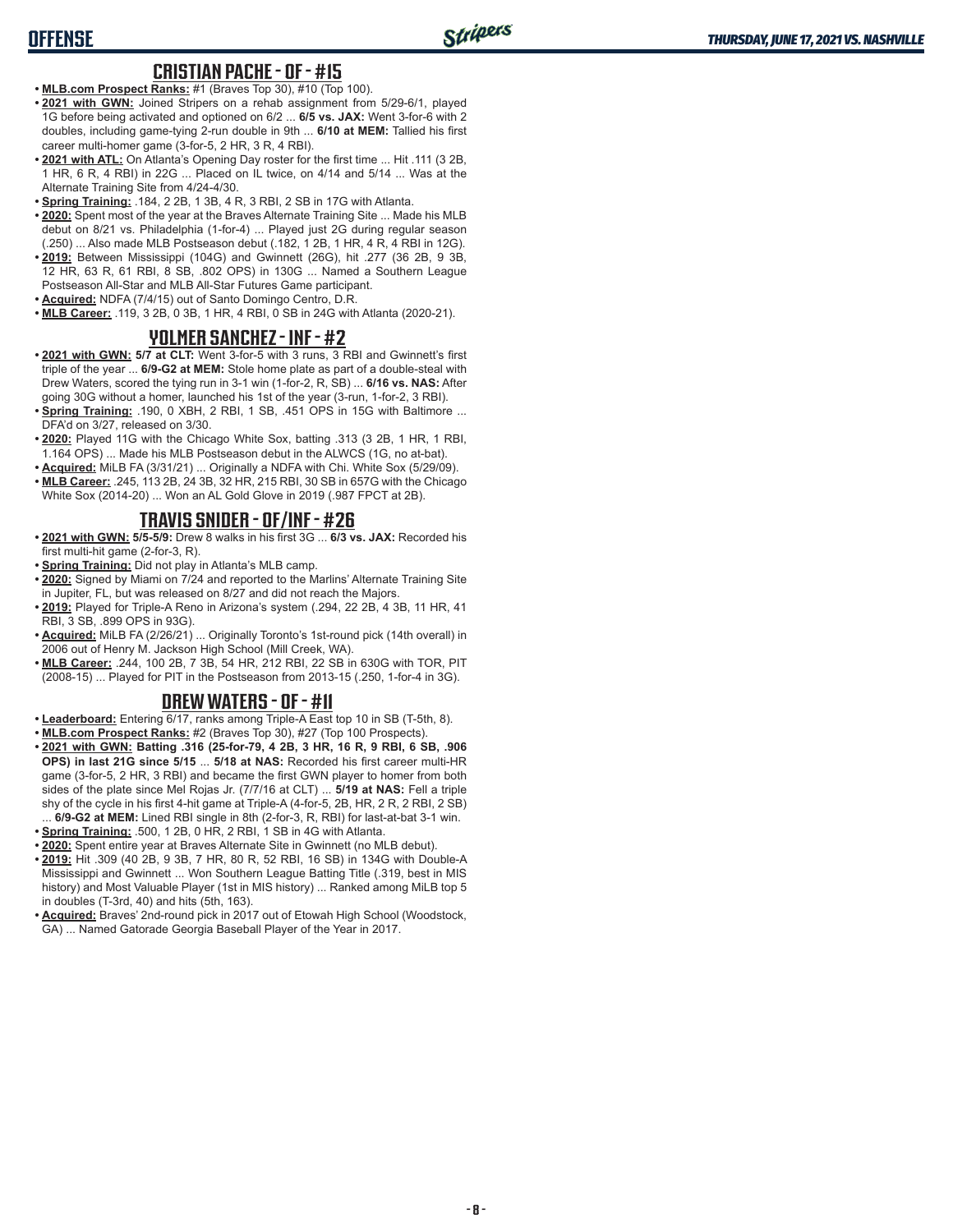### **OFFENSE**

#### **CRISTIAN PACHE - OF - #15**

- **• MLB.com Prospect Ranks:** #1 (Braves Top 30), #10 (Top 100).
- **• 2021 with GWN:** Joined Stripers on a rehab assignment from 5/29-6/1, played 1G before being activated and optioned on 6/2 ... **6/5 vs. JAX:** Went 3-for-6 with 2 doubles, including game-tying 2-run double in 9th ... **6/10 at MEM:** Tallied his first career multi-homer game (3-for-5, 2 HR, 3 R, 4 RBI).
- **• 2021 with ATL:** On Atlanta's Opening Day roster for the first time ... Hit .111 (3 2B, 1 HR, 6 R, 4 RBI) in 22G ... Placed on IL twice, on 4/14 and 5/14 ... Was at the Alternate Training Site from 4/24-4/30.
- **• Spring Training:** .184, 2 2B, 1 3B, 4 R, 3 RBI, 2 SB in 17G with Atlanta.
- **• 2020:** Spent most of the year at the Braves Alternate Training Site ... Made his MLB debut on 8/21 vs. Philadelphia (1-for-4) ... Played just 2G during regular season (.250) ... Also made MLB Postseason debut (.182, 1 2B, 1 HR, 4 R, 4 RBI in 12G).
- **• 2019:** Between Mississippi (104G) and Gwinnett (26G), hit .277 (36 2B, 9 3B, 12 HR, 63 R, 61 RBI, 8 SB, .802 OPS) in 130G ... Named a Southern League Postseason All-Star and MLB All-Star Futures Game participant.
- **• Acquired:** NDFA (7/4/15) out of Santo Domingo Centro, D.R.
- **• MLB Career:** .119, 3 2B, 0 3B, 1 HR, 4 RBI, 0 SB in 24G with Atlanta (2020-21).

#### **YOLMER SANCHEZ - INF - #2**

- **• 2021 with GWN: 5/7 at CLT:** Went 3-for-5 with 3 runs, 3 RBI and Gwinnett's first triple of the year ... **6/9-G2 at MEM:** Stole home plate as part of a double-steal with Drew Waters, scored the tying run in 3-1 win (1-for-2, R, SB) ... **6/16 vs. NAS:** After going 30G without a homer, launched his 1st of the year (3-run, 1-for-2, 3 RBI).
- **• Spring Training:** .190, 0 XBH, 2 RBI, 1 SB, .451 OPS in 15G with Baltimore ... DFA'd on 3/27, released on 3/30.
- **• 2020:** Played 11G with the Chicago White Sox, batting .313 (3 2B, 1 HR, 1 RBI, 1.164 OPS) ... Made his MLB Postseason debut in the ALWCS (1G, no at-bat).
- **• Acquired:** MiLB FA (3/31/21) ... Originally a NDFA with Chi. White Sox (5/29/09).
- **• MLB Career:** .245, 113 2B, 24 3B, 32 HR, 215 RBI, 30 SB in 657G with the Chicago White Sox (2014-20) ... Won an AL Gold Glove in 2019 (.987 FPCT at 2B).

#### **TRAVIS SNIDER - OF/INF - #26**

- **• 2021 with GWN: 5/5-5/9:** Drew 8 walks in his first 3G ... **6/3 vs. JAX:** Recorded his first multi-hit game (2-for-3, R).
- **• Spring Training:** Did not play in Atlanta's MLB camp.
- **• 2020:** Signed by Miami on 7/24 and reported to the Marlins' Alternate Training Site in Jupiter, FL, but was released on 8/27 and did not reach the Majors.
- **• 2019:** Played for Triple-A Reno in Arizona's system (.294, 22 2B, 4 3B, 11 HR, 41 RBI, 3 SB, .899 OPS in 93G).
- **• Acquired:** MiLB FA (2/26/21) ... Originally Toronto's 1st-round pick (14th overall) in 2006 out of Henry M. Jackson High School (Mill Creek, WA).
- **• MLB Career:** .244, 100 2B, 7 3B, 54 HR, 212 RBI, 22 SB in 630G with TOR, PIT (2008-15) ... Played for PIT in the Postseason from 2013-15 (.250, 1-for-4 in 3G).

#### **DREW WATERS - OF - #11**

- **• Leaderboard:** Entering 6/17, ranks among Triple-A East top 10 in SB (T-5th, 8).
- **• MLB.com Prospect Ranks:** #2 (Braves Top 30), #27 (Top 100 Prospects).
- **• 2021 with GWN: Batting .316 (25-for-79, 4 2B, 3 HR, 16 R, 9 RBI, 6 SB, .906 OPS) in last 21G since 5/15** ... **5/18 at NAS:** Recorded his first career multi-HR game (3-for-5, 2 HR, 3 RBI) and became the first GWN player to homer from both sides of the plate since Mel Rojas Jr. (7/7/16 at CLT) ... **5/19 at NAS:** Fell a triple shy of the cycle in his first 4-hit game at Triple-A (4-for-5, 2B, HR, 2 R, 2 RBI, 2 SB) ... **6/9-G2 at MEM:** Lined RBI single in 8th (2-for-3, R, RBI) for last-at-bat 3-1 win.
- **• Spring Training:** .500, 1 2B, 0 HR, 2 RBI, 1 SB in 4G with Atlanta.
- **• 2020:** Spent entire year at Braves Alternate Site in Gwinnett (no MLB debut).
- **• 2019:** Hit .309 (40 2B, 9 3B, 7 HR, 80 R, 52 RBI, 16 SB) in 134G with Double-A Mississippi and Gwinnett ... Won Southern League Batting Title (.319, best in MIS history) and Most Valuable Player (1st in MIS history) ... Ranked among MiLB top 5 in doubles (T-3rd, 40) and hits (5th, 163).
- **• Acquired:** Braves' 2nd-round pick in 2017 out of Etowah High School (Woodstock, GA) ... Named Gatorade Georgia Baseball Player of the Year in 2017.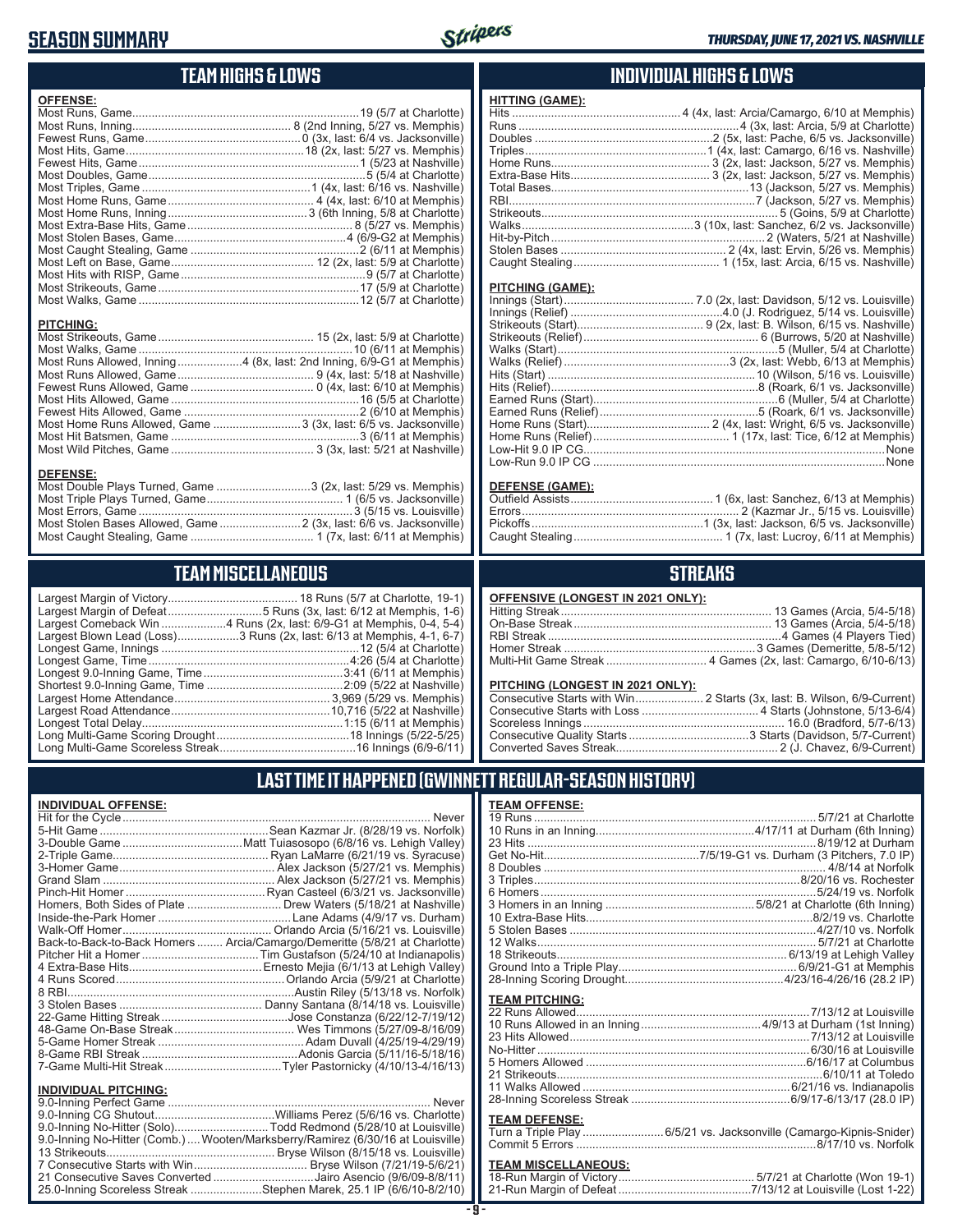### **SEASON SUMMARY**



**HITTING (GAME):**

#### **TEAM HIGHS & LOWS**

| <b>OFFENSE:</b>                                                      |  |
|----------------------------------------------------------------------|--|
|                                                                      |  |
|                                                                      |  |
|                                                                      |  |
|                                                                      |  |
|                                                                      |  |
|                                                                      |  |
|                                                                      |  |
|                                                                      |  |
|                                                                      |  |
|                                                                      |  |
|                                                                      |  |
|                                                                      |  |
|                                                                      |  |
|                                                                      |  |
|                                                                      |  |
|                                                                      |  |
| <b>PITCHING:</b>                                                     |  |
|                                                                      |  |
|                                                                      |  |
| Most Runs Allowed, Inning4 (8x, last: 2nd Inning, 6/9-G1 at Memphis) |  |
|                                                                      |  |
|                                                                      |  |
|                                                                      |  |
|                                                                      |  |
| Most Home Runs Allowed, Game  3 (3x, last: 6/5 vs. Jacksonville)     |  |
|                                                                      |  |

Most Wild Pitches, Game 3 (3x, last: 5/21 at Nashville)

Most Double Plays Turned, Game ............................3 (2x, last: 5/29 vs. Memphis) Most Triple Plays Turned, Game 1 (6/5 vs. Jacksonville) Most Errors, Game 3 (5/15 vs. Louisville) Most Stolen Bases Allowed, Game .......................... 2 (3x, last: 6/6 vs. Jacksonville) Most Caught Stealing, Game 1 (7x, last: 6/11 at Memphis)

#### **INDIVIDUAL HIGHS & LOWS**

| PITCHING (GAME): |  |
|------------------|--|
|                  |  |
|                  |  |
|                  |  |
|                  |  |
|                  |  |
|                  |  |
|                  |  |
|                  |  |
|                  |  |
|                  |  |
|                  |  |
|                  |  |
|                  |  |
|                  |  |
|                  |  |

#### **DEFENSE (GAME):**

#### **STREAKS**

|  |  | OFFENSIVE (LONGEST IN 2021 ONLY): |
|--|--|-----------------------------------|
|--|--|-----------------------------------|

#### **PITCHING (LONGEST IN 2021 ONLY):**

#### **LAST TIME IT HAPPENED (GWINNETT REGULAR-SEASON HISTORY)**

#### **TEAM OFFENSE:**

| $1 - 2111 - 11 - 110$ |  |
|-----------------------|--|
|                       |  |
|                       |  |
|                       |  |
|                       |  |
|                       |  |
|                       |  |
|                       |  |
|                       |  |
|                       |  |
|                       |  |
|                       |  |
|                       |  |
|                       |  |
|                       |  |
|                       |  |
| <b>TEAM PITCHING:</b> |  |
|                       |  |
|                       |  |
|                       |  |
|                       |  |
|                       |  |
|                       |  |
|                       |  |
|                       |  |

#### **TEAM DEFENSE:**

|  | Turn a Triple Play 6/5/21 vs. Jacksonville (Camargo-Kipnis-Snider) |
|--|--------------------------------------------------------------------|
|  |                                                                    |

### **TEAM MISCELLANEOUS:**<br>18-Run Margin of Victory....

| 21-Run Margin of Defeat…………………………………7/13/12 at Louisville (Lost 1-22) |  |  |
|-----------------------------------------------------------------------|--|--|

| <b>TEAM MISCELLANEOUS</b>                                                                                                                |
|------------------------------------------------------------------------------------------------------------------------------------------|
| Largest Margin of Defeat5 Runs (3x, last: 6/12 at Memphis, 1-6)<br>Largest Blown Lead (Loss)3 Runs (2x, last: 6/13 at Memphis, 4-1, 6-7) |
|                                                                                                                                          |
|                                                                                                                                          |

#### **INDIVIDUAL OFFENSE:**

**DEFENSE:**

|                             | Never                                                                      |
|-----------------------------|----------------------------------------------------------------------------|
|                             |                                                                            |
|                             |                                                                            |
|                             |                                                                            |
|                             |                                                                            |
|                             |                                                                            |
|                             |                                                                            |
|                             | Homers, Both Sides of Plate  Drew Waters (5/18/21 at Nashville)            |
|                             |                                                                            |
|                             |                                                                            |
|                             | Back-to-Back-to-Back Homers  Arcia/Camargo/Demeritte (5/8/21 at Charlotte) |
|                             |                                                                            |
|                             |                                                                            |
|                             |                                                                            |
|                             |                                                                            |
|                             |                                                                            |
|                             |                                                                            |
|                             |                                                                            |
|                             |                                                                            |
|                             |                                                                            |
|                             |                                                                            |
|                             |                                                                            |
| <b>INDIVIDUAL PITCHING:</b> |                                                                            |
|                             | $\overline{a}$                                                             |

| 9.0-Inning No-Hitter (Solo)Todd Redmond (5/28/10 at Louisville)                 |
|---------------------------------------------------------------------------------|
| 9.0-Inning No-Hitter (Comb.)  Wooten/Marksberry/Ramirez (6/30/16 at Louisville) |
|                                                                                 |
|                                                                                 |
| 21 Consecutive Saves Converted Jairo Asencio (9/6/09-8/8/11)                    |
| 25.0-Inning Scoreless Streak Stephen Marek, 25.1 IP (6/6/10-8/2/10)             |
|                                                                                 |